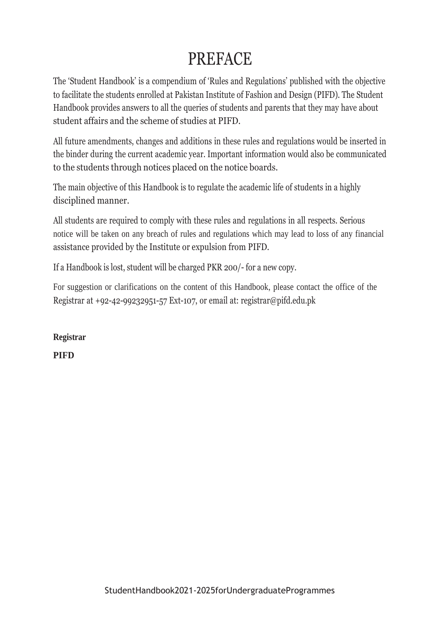# PREFACE

The 'Student Handbook' is a compendium of 'Rules and Regulations' published with the objective to facilitate the students enrolled at Pakistan Institute of Fashion and Design (PIFD). The Student Handbook provides answers to all the queries of students and parents that they may have about student affairs and the scheme of studies at PIFD.

All future amendments, changes and additions in these rules and regulations would be inserted in the binder during the current academic year. Important information would also be communicated to the students through notices placed on the notice boards.

The main objective of this Handbook is to regulate the academic life of students in a highly disciplined manner.

All students are required to comply with these rules and regulations in all respects. Serious notice will be taken on any breach of rules and regulations which may lead to loss of any financial assistance provided by the Institute or expulsion from PIFD.

If a Handbook is lost, student will be charged PKR 200/- for a new copy.

For suggestion or clarifications on the content of this Handbook, please contact the office of the Registrar at +92-42-99232951-57 Ext-107, or email at: [registrar@pifd.edu.pk](mailto:registrar@pifd.edu.pk)

**Registrar**

**PIFD**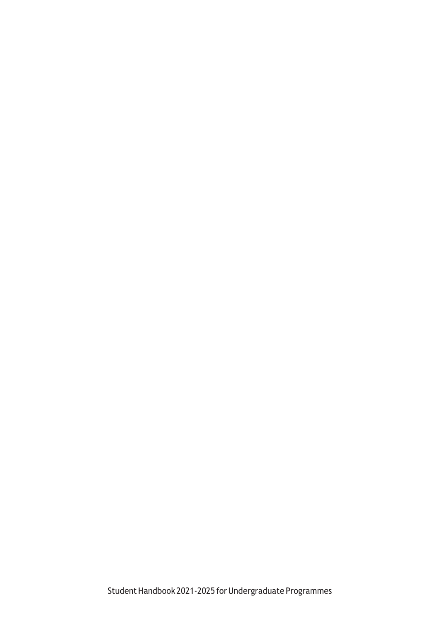Student Handbook 2021-2025 forUndergraduate Programmes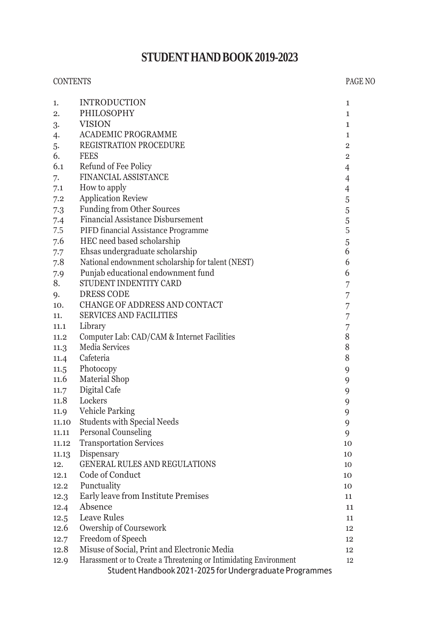# **STUDENT HAND BOOK 2019-2023**

#### CONTENTS PAGE NO

| 1.    | <b>INTRODUCTION</b>                                               | 1               |
|-------|-------------------------------------------------------------------|-----------------|
| 2.    | PHILOSOPHY                                                        | 1               |
| 3.    | <b>VISION</b>                                                     | 1               |
| 4.    | <b>ACADEMIC PROGRAMME</b>                                         | $\mathbf{1}$    |
| 5.    | REGISTRATION PROCEDURE                                            | $\overline{2}$  |
| 6.    | <b>FEES</b>                                                       | $\overline{2}$  |
| 6.1   | Refund of Fee Policy                                              | 4               |
| 7.    | FINANCIAL ASSISTANCE                                              | 4               |
| 7.1   | How to apply                                                      | 4               |
| 7.2   | <b>Application Review</b>                                         | 5               |
| 7.3   | <b>Funding from Other Sources</b>                                 | $\sqrt{5}$      |
| 7.4   | Financial Assistance Disbursement                                 | $\sqrt{5}$      |
| 7.5   | PIFD financial Assistance Programme                               | 5               |
| 7.6   | HEC need based scholarship                                        | 5               |
| 7.7   | Ehsas undergraduate scholarship                                   | 6               |
| 7.8   | National endownment scholarship for talent (NEST)                 | 6               |
| 7.9   | Punjab educational endownment fund                                | 6               |
| 8.    | STUDENT INDENTITY CARD                                            | 7               |
| 9.    | DRESS CODE                                                        | 7               |
| 10.   | CHANGE OF ADDRESS AND CONTACT                                     | 7               |
| 11.   | <b>SERVICES AND FACILITIES</b>                                    | 7               |
| 11.1  | Library                                                           | 7               |
| 11.2  | Computer Lab: CAD/CAM & Internet Facilities                       | 8               |
| 11.3  | Media Services                                                    | 8               |
| 11.4  | Cafeteria                                                         | 8               |
|       | 11.5 Photocopy                                                    | 9               |
|       | 11.6 Material Shop                                                | 9               |
| 11.7  | Digital Cafe                                                      | 9               |
|       | 11.8 Lockers                                                      | 9               |
| 11.9  | <b>Vehicle Parking</b>                                            | 9               |
| 11.10 | <b>Students with Special Needs</b>                                | 9               |
| 11.11 | Personal Counseling                                               | 9               |
| 11.12 | <b>Transportation Services</b>                                    | 10              |
| 11.13 | Dispensary                                                        | 10              |
| 12.   | <b>GENERAL RULES AND REGULATIONS</b>                              | 10              |
| 12.1  | Code of Conduct                                                   | 10              |
| 12.2  | Punctuality                                                       | 10              |
| 12.3  | Early leave from Institute Premises                               | 11              |
| 12.4  | Absence                                                           | 11              |
| 12.5  | <b>Leave Rules</b>                                                | 11              |
| 12.6  | Owership of Coursework                                            | 12              |
| 12.7  | Freedom of Speech                                                 | 12 <sup>°</sup> |
| 12.8  | Misuse of Social, Print and Electronic Media                      | 12              |
| 12.9  | Harassment or to Create a Threatening or Intimidating Environment | 12              |
|       | Student Handbook 2021-2025 for Undergraduate Programmes           |                 |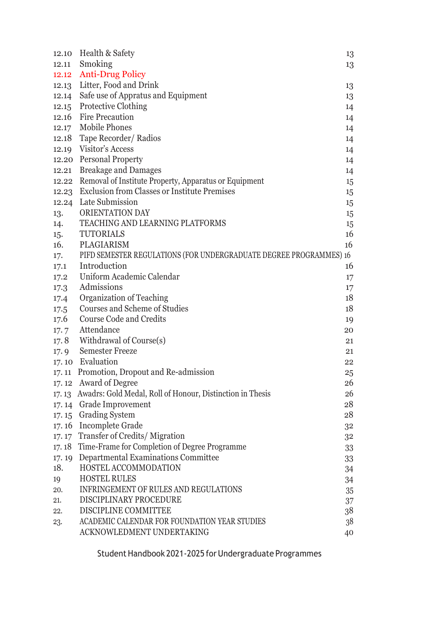| 12.10 | Health & Safety                                                    | 13 |
|-------|--------------------------------------------------------------------|----|
| 12.11 | Smoking                                                            | 13 |
|       | 12.12 Anti-Drug Policy                                             |    |
| 12.13 | Litter, Food and Drink                                             | 13 |
| 12.14 | Safe use of Appratus and Equipment                                 | 13 |
| 12.15 | <b>Protective Clothing</b>                                         | 14 |
|       | 12.16 Fire Precaution                                              | 14 |
|       | 12.17 Mobile Phones                                                | 14 |
|       | 12.18 Tape Recorder/ Radios                                        | 14 |
|       | 12.19 Visitor's Access                                             | 14 |
|       | 12.20 Personal Property                                            | 14 |
|       | 12.21 Breakage and Damages                                         | 14 |
|       | 12.22 Removal of Institute Property, Apparatus or Equipment        | 15 |
|       | 12.23 Exclusion from Classes or Institute Premises                 | 15 |
|       | 12.24 Late Submission                                              | 15 |
| 13.   | ORIENTATION DAY                                                    | 15 |
| 14.   | TEACHING AND LEARNING PLATFORMS                                    | 15 |
| 15.   | <b>TUTORIALS</b>                                                   | 16 |
| 16.   | PLAGIARISM                                                         | 16 |
| 17.   | PIFD SEMESTER REGULATIONS (FOR UNDERGRADUATE DEGREE PROGRAMMES) 16 |    |
| 17.1  | Introduction                                                       | 16 |
| 17.2  | Uniform Academic Calendar                                          | 17 |
| 17.3  | Admissions                                                         | 17 |
| 17.4  | Organization of Teaching                                           | 18 |
| 17.5  | Courses and Scheme of Studies                                      | 18 |
| 17.6  | <b>Course Code and Credits</b>                                     | 19 |
|       | 17.7 Attendance                                                    | 20 |
|       | 17.8 Withdrawal of Course(s)                                       | 21 |
| 17.9  | <b>Semester Freeze</b>                                             | 21 |
|       | 17.10 Evaluation                                                   | 22 |
|       | 17.11 Promotion, Dropout and Re-admission                          | 25 |
| 17.12 | Award of Degree                                                    | 26 |
|       | 17.13 Awadrs: Gold Medal, Roll of Honour, Distinction in Thesis    | 26 |
|       | 17.14 Grade Improvement                                            | 28 |
|       | 17.15 Grading System                                               | 28 |
|       | 17.16 Incomplete Grade                                             | 32 |
|       | 17.17 Transfer of Credits/Migration                                | 32 |
|       | 17.18 Time-Frame for Completion of Degree Programme                | 33 |
| 17.19 | Departmental Examinations Committee                                | 33 |
| 18.   | HOSTEL ACCOMMODATION                                               | 34 |
| 19    | <b>HOSTEL RULES</b>                                                | 34 |
| 20.   | INFRINGEMENT OF RULES AND REGULATIONS                              | 35 |
| 21.   | DISCIPLINARY PROCEDURE                                             | 37 |
| 22.   | DISCIPLINE COMMITTEE                                               | 38 |
| 23.   | ACADEMIC CALENDAR FOR FOUNDATION YEAR STUDIES                      | 38 |
|       | ACKNOWLEDMENT UNDERTAKING                                          | 40 |

Student Handbook 2021-2025 forUndergraduate Programmes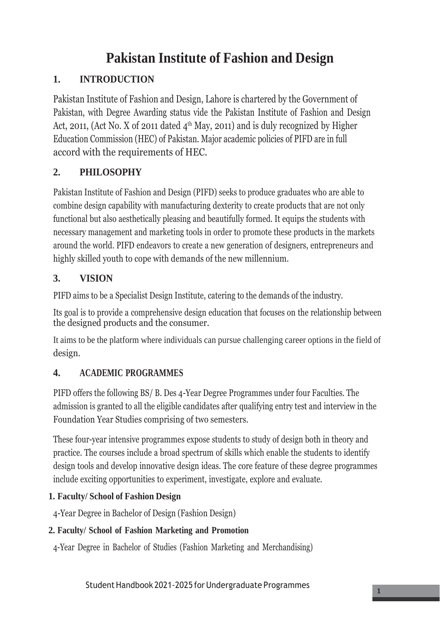# **Pakistan Institute of Fashion and Design**

# <span id="page-4-0"></span>**1. INTRODUCTION**

Pakistan Institute of Fashion and Design, Lahore is chartered by the Government of Pakistan, with Degree Awarding status vide the Pakistan Institute of Fashion and Design Act, 2011, (Act No. X of 2011 dated 4<sup>th</sup> May, 2011) and is duly recognized by Higher Education Commission (HEC) of Pakistan. Major academic policies of PIFD are in full accord with the requirements of HEC.

# <span id="page-4-1"></span>**2. PHILOSOPHY**

Pakistan Institute of Fashion and Design (PIFD) seeks to produce graduates who are able to combine design capability with manufacturing dexterity to create products that are not only functional but also aesthetically pleasing and beautifully formed. It equips the students with necessary management and marketing tools in order to promote these products in the markets around the world. PIFD endeavors to create a new generation of designers, entrepreneurs and highly skilled youth to cope with demands of the new millennium.

# <span id="page-4-2"></span>**3. VISION**

PIFD aims to be a Specialist Design Institute, catering to the demands of the industry.

Its goal is to provide a comprehensive design education that focuses on the relationship between the designed products and the consumer.

It aims to be the platform where individuals can pursue challenging career options in the field of design.

# **4. ACADEMIC PROGRAMMES**

PIFD offers the following BS/ B. Des 4-Year Degree Programmes under four Faculties. The admission is granted to all the eligible candidates after qualifying entry test and interview in the Foundation Year Studies comprising of two semesters.

These four-year intensive programmes expose students to study of design both in theory and practice. The courses include a broad spectrum of skills which enable the students to identify design tools and develop innovative design ideas. The core feature of these degree programmes include exciting opportunities to experiment, investigate, explore and evaluate.

# **1. Faculty/ School of Fashion Design**

4-Year Degree in Bachelor of Design (Fashion Design)

# **2. Faculty/ School of Fashion Marketing and Promotion**

4-Year Degree in Bachelor of Studies (Fashion Marketing and Merchandising)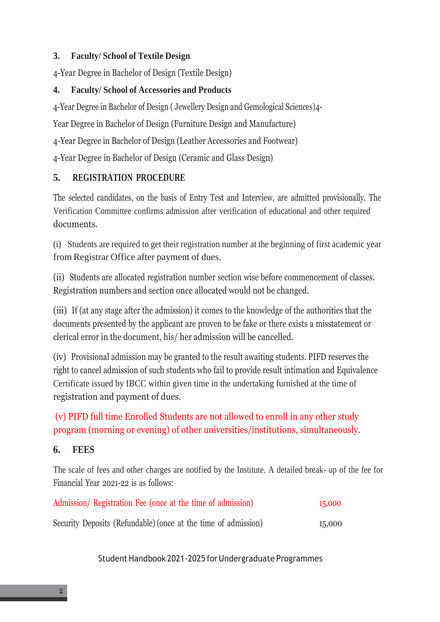#### **3. Faculty/ School of Textile Design**

4-Year Degree in Bachelor of Design (Textile Design)

#### **4. Faculty/ School of Accessories and Products**

4-Year Degree in Bachelor of Design ( Jewellery Design and Gemological Sciences)4-

Year Degree in Bachelor of Design (Furniture Design and Manufacture)

4-Year Degree in Bachelor of Design (Leather Accessories and Footwear)

4-Year Degree in Bachelor of Design (Ceramic and Glass Design)

## <span id="page-5-0"></span>**5. REGISTRATION PROCEDURE**

The selected candidates, on the basis of Entry Test and Interview, are admitted provisionally. The Verification Committee confirms admission after verification of educational and other required documents.

(i) Students are required to get their registration number at the beginning of first academic year from Registrar Office after payment of dues.

(ii) Students are allocated registration number section wise before commencement of classes. Registration numbers and section once allocated would not be changed.

(iii) If (at any stage after the admission) it comes to the knowledge of the authorities that the documents presented by the applicant are proven to be fake or there exists a misstatement or clerical error in the document, his/ her admission will be cancelled.

(iv) Provisional admission may be granted to the result awaiting students. PIFD reserves the right to cancel admission of such students who fail to provide result intimation and Equivalence Certificate issued by IBCC within given time in the undertaking furnished at the time of registration and payment of dues.

# (v) PIFD full time Enrolled Students are not allowed to enroll in any other study program (morning or evening) of other universities/institutions, simultaneously.

#### <span id="page-5-1"></span>**6. FEES**

The scale of fees and other charges are notified by the Institute. A detailed break- up of the fee for Financial Year 2021-22 is as follows:

| Admission/Registration Fee (once at the time of admission)     | 15,000 |
|----------------------------------------------------------------|--------|
| Security Deposits (Refundable) (once at the time of admission) | 15,000 |

Student Handbook 2021-2025 for Undergraduate Programmes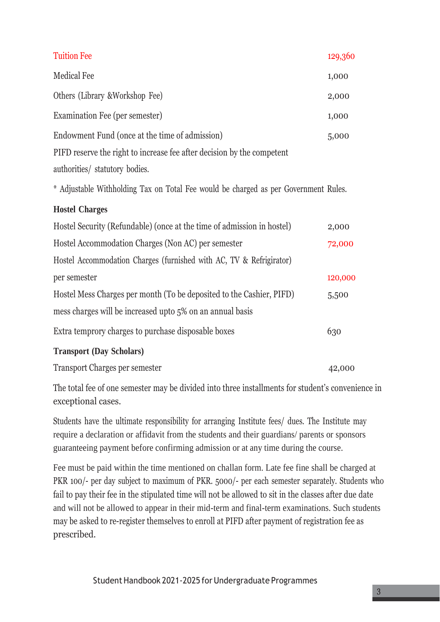| <b>Tuition Fee</b>                                                                  | 129,360 |
|-------------------------------------------------------------------------------------|---------|
| <b>Medical Fee</b>                                                                  | 1,000   |
| Others (Library & Workshop Fee)                                                     | 2,000   |
| Examination Fee (per semester)                                                      | 1,000   |
| Endowment Fund (once at the time of admission)                                      | 5,000   |
| PIFD reserve the right to increase fee after decision by the competent              |         |
| authorities/ statutory bodies.                                                      |         |
| * Adjustable Withholding Tax on Total Fee would be charged as per Government Rules. |         |

#### **Hostel Charges**

| Hostel Security (Refundable) (once at the time of admission in hostel) | 2,000   |
|------------------------------------------------------------------------|---------|
| Hostel Accommodation Charges (Non AC) per semester                     | 72,000  |
| Hostel Accommodation Charges (furnished with AC, TV & Refrigirator)    |         |
| per semester                                                           | 120,000 |
| Hostel Mess Charges per month (To be deposited to the Cashier, PIFD)   | 5,500   |
| mess charges will be increased upto 5% on an annual basis              |         |
| Extra temprory charges to purchase disposable boxes                    | 630     |
| <b>Transport (Day Scholars)</b>                                        |         |
| <b>Transport Charges per semester</b>                                  | 42,000  |

The total fee of one semester may be divided into three installments for student's convenience in exceptional cases.

Students have the ultimate responsibility for arranging Institute fees/ dues. The Institute may require a declaration or affidavit from the students and their guardians/ parents or sponsors guaranteeing payment before confirming admission or at any time during the course.

Fee must be paid within the time mentioned on challan form. Late fee fine shall be charged at PKR 100/- per day subject to maximum of PKR. 5000/- per each semester separately. Students who fail to pay their fee in the stipulated time will not be allowed to sit in the classes after due date and will not be allowed to appear in their mid-term and final-term examinations. Such students may be asked to re-register themselves to enroll at PIFD after payment of registration fee as prescribed.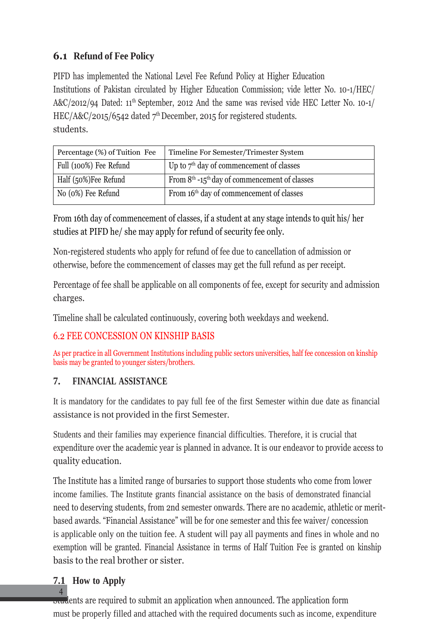# <span id="page-7-0"></span>**6.1 Refund of Fee Policy**

PIFD has implemented the National Level Fee Refund Policy at Higher Education Institutions of Pakistan circulated by Higher Education Commission; vide letter No. 10-1/HEC/ A&C/2012/94 Dated:  $11<sup>th</sup>$  September, 2012 And the same was revised vide HEC Letter No. 10-1/ HEC/A&C/2015/6542 dated 7<sup>th</sup> December, 2015 for registered students. students.

| Percentage (%) of Tuition Fee | Timeline For Semester/Trimester System                      |  |  |
|-------------------------------|-------------------------------------------------------------|--|--|
| Full (100%) Fee Refund        | Up to $7th$ day of commencement of classes                  |  |  |
| Half (50%)Fee Refund          | From $8th$ -15 <sup>th</sup> day of commencement of classes |  |  |
| No (0%) Fee Refund            | From 16 <sup>th</sup> day of commencement of classes        |  |  |

From 16th day of commencement of classes, if a student at any stage intends to quit his/ her studies at PIFD he/ she may apply for refund of security fee only.

Non-registered students who apply for refund of fee due to cancellation of admission or otherwise, before the commencement of classes may get the full refund as per receipt.

Percentage of fee shall be applicable on all components of fee, except for security and admission charges.

Timeline shall be calculated continuously, covering both weekdays and weekend.

## 6.2 FEE CONCESSION ON KINSHIP BASIS

As per practice in all Government Institutions including public sectors universities, half fee concession on kinship basis may be granted to younger sisters/brothers.

## <span id="page-7-1"></span>**7. FINANCIAL ASSISTANCE**

It is mandatory for the candidates to pay full fee of the first Semester within due date as financial assistance is not provided in the first Semester.

Students and their families may experience financial difficulties. Therefore, it is crucial that expenditure over the academic year is planned in advance. It is our endeavor to provide access to quality education.

The Institute has a limited range of bursaries to support those students who come from lower income families. The Institute grants financial assistance on the basis of demonstrated financial need to deserving students, from 2nd semester onwards. There are no academic, athletic or meritbased awards. "Financial Assistance" will be for one semester and this fee waiver/ concession is applicable only on the tuition fee. A student will pay all payments and fines in whole and no exemption will be granted. Financial Assistance in terms of Half Tuition Fee is granted on kinship basis to the real brother or sister.

# <span id="page-7-2"></span>**7.1 How to Apply**

 $\overline{4}$ 

**Students** are required to submit an application when announced. The application form must be properly filled and attached with the required documents such as income, expenditure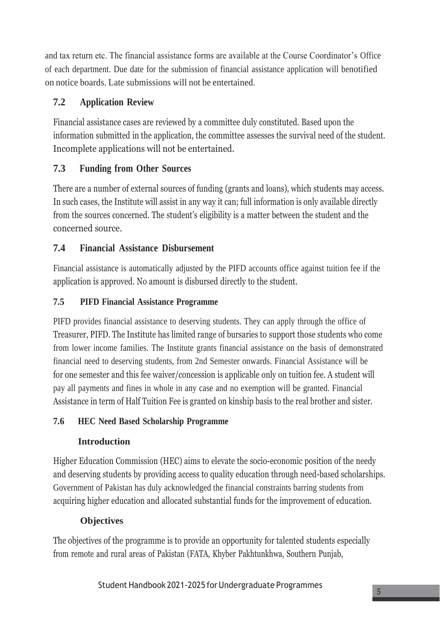and tax return etc. The financial assistance forms are available at the Course Coordinator's Office of each department. Due date for the submission of financial assistance application will benotified on notice boards. Late submissions will not be entertained.

# <span id="page-8-0"></span>**7.2 Application Review**

Financial assistance cases are reviewed by a committee duly constituted. Based upon the information submitted in the application, the committee assesses the survival need of the student. Incomplete applications will not be entertained.

# <span id="page-8-1"></span>**7.3 Funding from Other Sources**

There are a number of external sources of funding (grants and loans), which students may access. In such cases, the Institute will assist in any way it can; full information is only available directly from the sources concerned. The student's eligibility is a matter between the student and the concerned source.

# <span id="page-8-2"></span>**7.4 Financial Assistance Disbursement**

Financial assistance is automatically adjusted by the PIFD accounts office against tuition fee if the application is approved. No amount is disbursed directly to the student.

## <span id="page-8-3"></span>**7.5 PIFD Financial Assistance Programme**

PIFD provides financial assistance to deserving students. They can apply through the office of Treasurer, PIFD. The Institute has limited range of bursaries to support those students who come from lower income families. The Institute grants financial assistance on the basis of demonstrated financial need to deserving students, from 2nd Semester onwards. Financial Assistance will be for one semester and this fee waiver/concession is applicable only on tuition fee. A student will pay all payments and fines in whole in any case and no exemption will be granted. Financial Assistance in term of Half Tuition Fee is granted on kinship basis to the real brother and sister.

## **7.6 HEC Need Based Scholarship Programme**

## **Introduction**

Higher Education Commission (HEC) aims to elevate the socio-economic position of the needy and deserving students by providing access to quality education through need-based scholarships. Government of Pakistan has duly acknowledged the financial constraints barring students from acquiring higher education and allocated substantial funds for the improvement of education.

# **Objectives**

The objectives of the programme is to provide an opportunity for talented students especially from remote and rural areas of Pakistan (FATA, Khyber Pakhtunkhwa, Southern Punjab,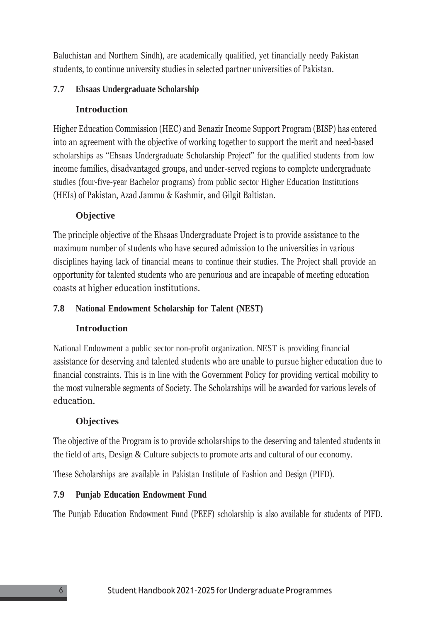Baluchistan and Northern Sindh), are academically qualified, yet financially needy Pakistan students, to continue university studies in selected partner universities of Pakistan.

#### **7.7 Ehsaas Undergraduate Scholarship**

#### **Introduction**

Higher Education Commission (HEC) and Benazir Income Support Program (BISP) has entered into an agreement with the objective of working together to support the merit and need-based scholarships as "Ehsaas Undergraduate Scholarship Project" for the qualified students from low income families, disadvantaged groups, and under-served regions to complete undergraduate studies (four-five-year Bachelor programs) from public sector Higher Education Institutions (HEIs) of Pakistan, Azad Jammu & Kashmir, and Gilgit Baltistan.

#### **Objective**

The principle objective of the Ehsaas Undergraduate Project is to provide assistance to the maximum number of students who have secured admission to the universities in various disciplines haying lack of financial means to continue their studies. The Project shall provide an opportunity for talented students who are penurious and are incapable of meeting education coasts at higher education institutions.

#### **7.8 National Endowment Scholarship for Talent (NEST)**

#### **Introduction**

National Endowment a public sector non-profit organization. NEST is providing financial assistance for deserving and talented students who are unable to pursue higher education due to financial constraints. This is in line with the Government Policy for providing vertical mobility to the most vulnerable segments of Society. The Scholarships will be awarded for various levels of education.

#### **Objectives**

The objective of the Program is to provide scholarships to the deserving and talented students in the field of arts, Design & Culture subjects to promote arts and cultural of our economy.

These Scholarships are available in Pakistan Institute of Fashion and Design (PIFD).

#### **7.9 Punjab Education Endowment Fund**

The Punjab Education Endowment Fund (PEEF) scholarship is also available for students of PIFD.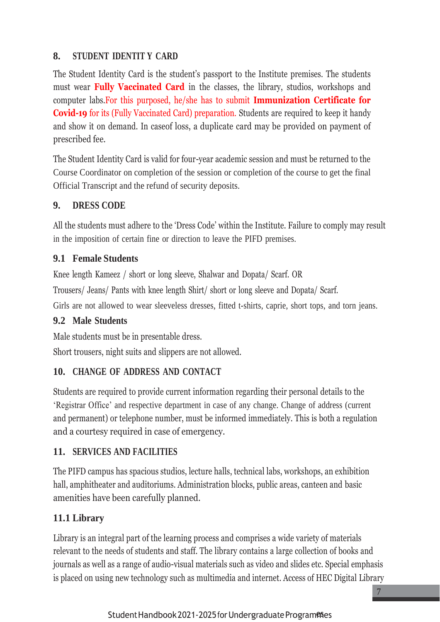## **8. STUDENT IDENTIT Y CARD**

The Student Identity Card is the student's passport to the Institute premises. The students must wear **Fully Vaccinated Card** in the classes, the library, studios, workshops and computer labs.For this purposed, he/she has to submit **Immunization Certificate for Covid-19** for its (Fully Vaccinated Card) preparation. Students are required to keep it handy and show it on demand. In caseof loss, a duplicate card may be provided on payment of prescribed fee.

The Student Identity Card is valid for four-year academic session and must be returned to the Course Coordinator on completion of the session or completion of the course to get the final Official Transcript and the refund of security deposits.

## <span id="page-10-0"></span>**9. DRESS CODE**

All the students must adhere to the 'Dress Code' within the Institute. Failure to comply may result in the imposition of certain fine or direction to leave the PIFD premises.

#### **9.1 Female Students**

Knee length Kameez / short or long sleeve, Shalwar and Dopata/ Scarf. OR

Trousers/ Jeans/ Pants with knee length Shirt/ short or long sleeve and Dopata/ Scarf.

Girls are not allowed to wear sleeveless dresses, fitted t-shirts, caprie, short tops, and torn jeans.

## **9.2 Male Students**

Male students must be in presentable dress.

Short trousers, night suits and slippers are not allowed.

## <span id="page-10-1"></span>**10. CHANGE OF ADDRESS AND CONTACT**

Students are required to provide current information regarding their personal details to the 'Registrar Office' and respective department in case of any change. Change of address (current and permanent) or telephone number, must be informed immediately. This is both a regulation and a courtesy required in case of emergency.

## <span id="page-10-2"></span>**11. SERVICES AND FACILITIES**

The PIFD campus has spacious studios, lecture halls, technical labs, workshops, an exhibition hall, amphitheater and auditoriums. Administration blocks, public areas, canteen and basic amenities have been carefully planned.

# <span id="page-10-3"></span>**11.1 Library**

Library is an integral part of the learning process and comprises a wide variety of materials relevant to the needs of students and staff. The library contains a large collection of books and journals as well as a range of audio-visual materials such as video and slides etc. Special emphasis is placed on using new technology such as multimedia and internet. Access of HEC Digital Library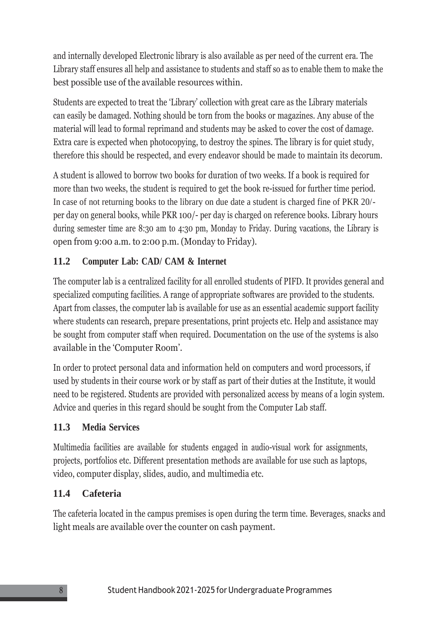and internally developed Electronic library is also available as per need of the current era. The Library staff ensures all help and assistance to students and staff so as to enable them to make the best possible use of the available resources within.

Students are expected to treat the 'Library' collection with great care as the Library materials can easily be damaged. Nothing should be torn from the books or magazines. Any abuse of the material will lead to formal reprimand and students may be asked to cover the cost of damage. Extra care is expected when photocopying, to destroy the spines. The library is for quiet study, therefore this should be respected, and every endeavor should be made to maintain its decorum.

A student is allowed to borrow two books for duration of two weeks. If a book is required for more than two weeks, the student is required to get the book re-issued for further time period. In case of not returning books to the library on due date a student is charged fine of PKR 20/ per day on general books, while PKR 100/- per day is charged on reference books. Library hours during semester time are 8:30 am to 4:30 pm, Monday to Friday. During vacations, the Library is open from 9:00 a.m. to 2:00 p.m. (Monday to Friday).

# **11.2 Computer Lab: CAD/ CAM & Internet**

The computer lab is a centralized facility for all enrolled students of PIFD. It provides general and specialized computing facilities. A range of appropriate softwares are provided to the students. Apart from classes, the computer lab is available for use as an essential academic support facility where students can research, prepare presentations, print projects etc. Help and assistance may be sought from computer staff when required. Documentation on the use of the systems is also available in the 'Computer Room'.

In order to protect personal data and information held on computers and word processors, if used by students in their course work or by staff as part of their duties at the Institute, it would need to be registered. Students are provided with personalized access by means of a login system. Advice and queries in this regard should be sought from the Computer Lab staff.

# <span id="page-11-0"></span>**11.3 Media Services**

Multimedia facilities are available for students engaged in audio-visual work for assignments, projects, portfolios etc. Different presentation methods are available for use such as laptops, video, computer display, slides, audio, and multimedia etc.

# <span id="page-11-1"></span>**11.4 Cafeteria**

The cafeteria located in the campus premises is open during the term time. Beverages, snacks and light meals are available over the counter on cash payment.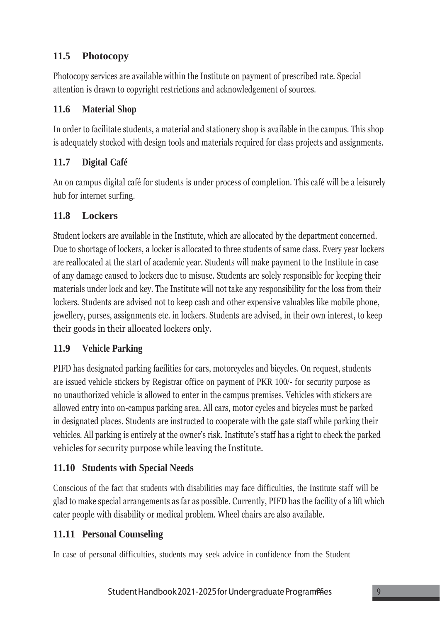# <span id="page-12-0"></span>**11.5 Photocopy**

Photocopy services are available within the Institute on payment of prescribed rate. Special attention is drawn to copyright restrictions and acknowledgement of sources.

## <span id="page-12-1"></span>**11.6 Material Shop**

In order to facilitate students, a material and stationery shop is available in the campus. This shop is adequately stocked with design tools and materials required for class projects and assignments.

# **11.7 Digital Café**

An on campus digital café for students is under process of completion. This café will be a leisurely hub for internet surfing.

# <span id="page-12-2"></span>**11.8 Lockers**

Student lockers are available in the Institute, which are allocated by the department concerned. Due to shortage of lockers, a locker is allocated to three students of same class. Every year lockers are reallocated at the start of academic year. Students will make payment to the Institute in case of any damage caused to lockers due to misuse. Students are solely responsible for keeping their materials under lock and key. The Institute will not take any responsibility for the loss from their lockers. Students are advised not to keep cash and other expensive valuables like mobile phone, jewellery, purses, assignments etc. in lockers. Students are advised, in their own interest, to keep their goods in their allocated lockers only.

# <span id="page-12-3"></span>**11.9 Vehicle Parking**

PIFD has designated parking facilities for cars, motorcycles and bicycles. On request, students are issued vehicle stickers by Registrar office on payment of PKR 100/- for security purpose as no unauthorized vehicle is allowed to enter in the campus premises. Vehicles with stickers are allowed entry into on-campus parking area. All cars, motor cycles and bicycles must be parked in designated places. Students are instructed to cooperate with the gate staff while parking their vehicles. All parking is entirely at the owner's risk. Institute's staff has a right to check the parked vehicles for security purpose while leaving the Institute.

# <span id="page-12-4"></span>**11.10 Students with Special Needs**

Conscious of the fact that students with disabilities may face difficulties, the Institute staff will be glad to make special arrangements as far as possible. Currently, PIFD has the facility of a lift which cater people with disability or medical problem. Wheel chairs are also available.

# <span id="page-12-5"></span>**11.11 Personal Counseling**

In case of personal difficulties, students may seek advice in confidence from the Student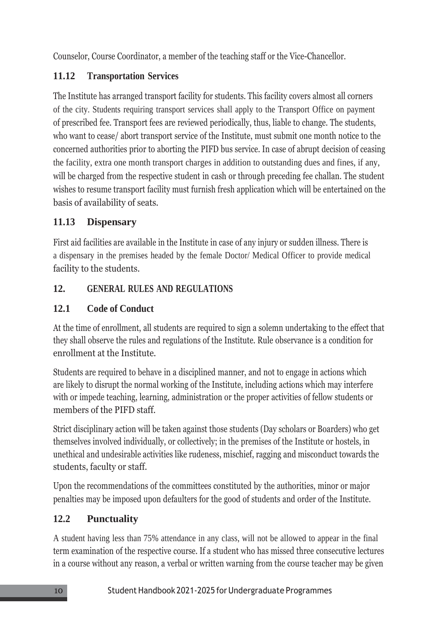Counselor, Course Coordinator, a member of the teaching staff or the Vice-Chancellor.

# <span id="page-13-0"></span>**11.12 Transportation Services**

The Institute has arranged transport facility for students. This facility covers almost all corners of the city. Students requiring transport services shall apply to the Transport Office on payment of prescribed fee. Transport fees are reviewed periodically, thus, liable to change. The students, who want to cease/ abort transport service of the Institute, must submit one month notice to the concerned authorities prior to aborting the PIFD bus service. In case of abrupt decision of ceasing the facility, extra one month transport charges in addition to outstanding dues and fines, if any, will be charged from the respective student in cash or through preceding fee challan. The student wishes to resume transport facility must furnish fresh application which will be entertained on the basis of availability of seats.

# <span id="page-13-1"></span>**11.13 Dispensary**

First aid facilities are available in the Institute in case of any injury or sudden illness. There is a dispensary in the premises headed by the female Doctor/ Medical Officer to provide medical facility to the students.

# <span id="page-13-2"></span>**12. GENERAL RULES AND REGULATIONS**

# <span id="page-13-3"></span>**12.1 Code of Conduct**

At the time of enrollment, all students are required to sign a solemn undertaking to the effect that they shall observe the rules and regulations of the Institute. Rule observance is a condition for enrollment at the Institute.

Students are required to behave in a disciplined manner, and not to engage in actions which are likely to disrupt the normal working of the Institute, including actions which may interfere with or impede teaching, learning, administration or the proper activities of fellow students or members of the PIFD staff.

Strict disciplinary action will be taken against those students (Day scholars or Boarders) who get themselves involved individually, or collectively; in the premises of the Institute or hostels, in unethical and undesirable activities like rudeness, mischief, ragging and misconduct towards the students, faculty or staff.

Upon the recommendations of the committees constituted by the authorities, minor or major penalties may be imposed upon defaulters for the good of students and order of the Institute.

# <span id="page-13-4"></span>**12.2 Punctuality**

A student having less than 75% attendance in any class, will not be allowed to appear in the final term examination of the respective course. If a student who has missed three consecutive lectures in a course without any reason, a verbal or written warning from the course teacher may be given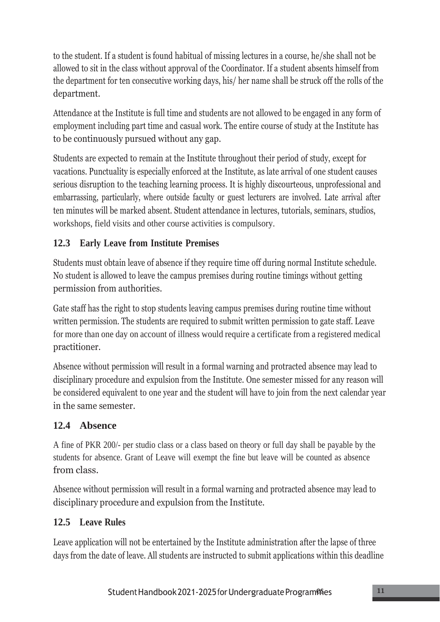to the student. If a student is found habitual of missing lectures in a course, he/she shall not be allowed to sit in the class without approval of the Coordinator. If a student absents himself from the department for ten consecutive working days, his/ her name shall be struck off the rolls of the department.

Attendance at the Institute is full time and students are not allowed to be engaged in any form of employment including part time and casual work. The entire course of study at the Institute has to be continuously pursued without any gap.

Students are expected to remain at the Institute throughout their period of study, except for vacations. Punctuality is especially enforced at the Institute, as late arrival of one student causes serious disruption to the teaching learning process. It is highly discourteous, unprofessional and embarrassing, particularly, where outside faculty or guest lecturers are involved. Late arrival after ten minutes will be marked absent. Student attendance in lectures, tutorials, seminars, studios, workshops, field visits and other course activities is compulsory.

# <span id="page-14-0"></span>**12.3 Early Leave from Institute Premises**

Students must obtain leave of absence if they require time off during normal Institute schedule. No student is allowed to leave the campus premises during routine timings without getting permission from authorities.

Gate staff has the right to stop students leaving campus premises during routine time without written permission. The students are required to submit written permission to gate staff. Leave for more than one day on account of illness would require a certificate from a registered medical practitioner.

Absence without permission will result in a formal warning and protracted absence may lead to disciplinary procedure and expulsion from the Institute. One semester missed for any reason will be considered equivalent to one year and the student will have to join from the next calendar year in the same semester.

## <span id="page-14-1"></span>**12.4 Absence**

A fine of PKR 200/- per studio class or a class based on theory or full day shall be payable by the students for absence. Grant of Leave will exempt the fine but leave will be counted as absence from class.

Absence without permission will result in a formal warning and protracted absence may lead to disciplinary procedure and expulsion from the Institute.

## <span id="page-14-2"></span>**12.5 Leave Rules**

Leave application will not be entertained by the Institute administration after the lapse of three days from the date of leave. All students are instructed to submit applications within this deadline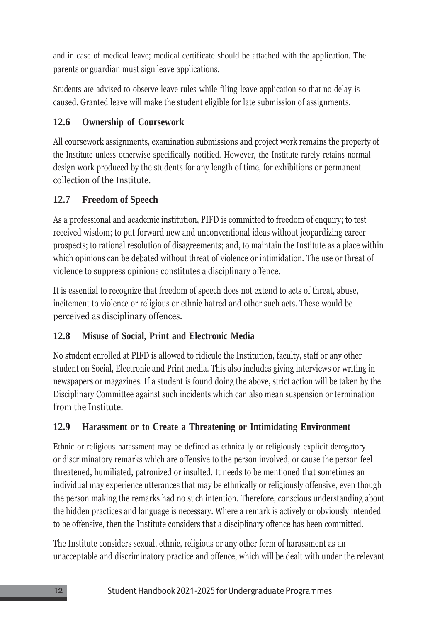and in case of medical leave; medical certificate should be attached with the application. The parents or guardian must sign leave applications.

Students are advised to observe leave rules while filing leave application so that no delay is caused. Granted leave will make the student eligible for late submission of assignments.

## **12.6 Ownership of Coursework**

All coursework assignments, examination submissions and project work remains the property of the Institute unless otherwise specifically notified. However, the Institute rarely retains normal design work produced by the students for any length of time, for exhibitions or permanent collection of the Institute.

## <span id="page-15-0"></span>**12.7 Freedom of Speech**

As a professional and academic institution, PIFD is committed to freedom of enquiry; to test received wisdom; to put forward new and unconventional ideas without jeopardizing career prospects; to rational resolution of disagreements; and, to maintain the Institute as a place within which opinions can be debated without threat of violence or intimidation. The use or threat of violence to suppress opinions constitutes a disciplinary offence.

It is essential to recognize that freedom of speech does not extend to acts of threat, abuse, incitement to violence or religious or ethnic hatred and other such acts. These would be perceived as disciplinary offences.

## <span id="page-15-1"></span>**12.8 Misuse of Social, Print and Electronic Media**

No student enrolled at PIFD is allowed to ridicule the Institution, faculty, staff or any other student on Social, Electronic and Print media. This also includes giving interviews or writing in newspapers or magazines. If a student is found doing the above, strict action will be taken by the Disciplinary Committee against such incidents which can also mean suspension or termination from the Institute.

# <span id="page-15-2"></span>**12.9 Harassment or to Create a Threatening or Intimidating Environment**

Ethnic or religious harassment may be defined as ethnically or religiously explicit derogatory or discriminatory remarks which are offensive to the person involved, or cause the person feel threatened, humiliated, patronized or insulted. It needs to be mentioned that sometimes an individual may experience utterances that may be ethnically or religiously offensive, even though the person making the remarks had no such intention. Therefore, conscious understanding about the hidden practices and language is necessary. Where a remark is actively or obviously intended to be offensive, then the Institute considers that a disciplinary offence has been committed.

The Institute considers sexual, ethnic, religious or any other form of harassment as an unacceptable and discriminatory practice and offence, which will be dealt with under the relevant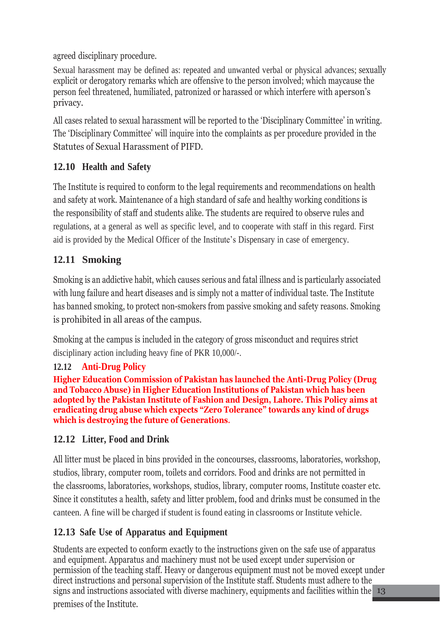agreed disciplinary procedure.

Sexual harassment may be defined as: repeated and unwanted verbal or physical advances; sexually explicit or derogatory remarks which are offensive to the person involved; which maycause the person feel threatened, humiliated, patronized or harassed or which interfere with aperson's privacy.

All cases related to sexual harassment will be reported to the 'Disciplinary Committee' in writing. The 'Disciplinary Committee' will inquire into the complaints as per procedure provided in the Statutes of Sexual Harassment of PIFD.

# **12.10 Health and Safety**

The Institute is required to conform to the legal requirements and recommendations on health and safety at work. Maintenance of a high standard of safe and healthy working conditions is the responsibility of staff and students alike. The students are required to observe rules and regulations, at a general as well as specific level, and to cooperate with staff in this regard. First aid is provided by the Medical Officer of the Institute's Dispensary in case of emergency.

# <span id="page-16-0"></span>**12.11 Smoking**

Smoking is an addictive habit, which causes serious and fatal illness and is particularly associated with lung failure and heart diseases and is simply not a matter of individual taste. The Institute has banned smoking, to protect non-smokers from passive smoking and safety reasons. Smoking is prohibited in all areas of the campus.

Smoking at the campus is included in the category of gross misconduct and requires strict disciplinary action including heavy fine of PKR 10,000/-.

# **12.12 Anti-Drug Policy**

**Higher Education Commission of Pakistan has launched the Anti-Drug Policy (Drug and Tobacco Abuse) in Higher Education Institutions of Pakistan which has been adopted by the Pakistan Institute of Fashion and Design, Lahore. This Policy aims at eradicating drug abuse which expects "Zero Tolerance" towards any kind of drugs which is destroying the future of Generations.** 

# <span id="page-16-1"></span>**12.12 Litter, Food and Drink**

All litter must be placed in bins provided in the concourses, classrooms, laboratories, workshop, studios, library, computer room, toilets and corridors. Food and drinks are not permitted in the classrooms, laboratories, workshops, studios, library, computer rooms, Institute coaster etc. Since it constitutes a health, safety and litter problem, food and drinks must be consumed in the canteen. A fine will be charged if student is found eating in classrooms or Institute vehicle.

# **12.13 Safe Use of Apparatus and Equipment**

Students are expected to conform exactly to the instructions given on the safe use of apparatus and equipment. Apparatus and machinery must not be used except under supervision or permission of the teaching staff. Heavy or dangerous equipment must not be moved except under direct instructions and personal supervision of the Institute staff. Students must adhere to the signs and instructions associated with diverse machinery, equipments and facilities within the 13premises of the Institute.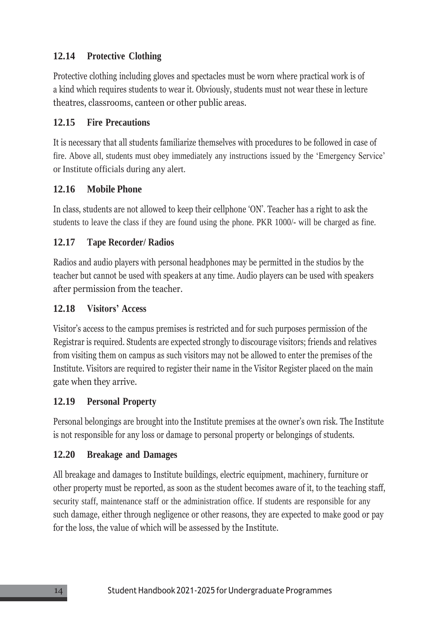## <span id="page-17-0"></span>**12.14 Protective Clothing**

Protective clothing including gloves and spectacles must be worn where practical work is of a kind which requires students to wear it. Obviously, students must not wear these in lecture theatres, classrooms, canteen or other public areas.

#### **12.15 Fire Precautions**

It is necessary that all students familiarize themselves with procedures to be followed in case of fire. Above all, students must obey immediately any instructions issued by the 'Emergency Service' or Institute officials during any alert.

#### **12.16 Mobile Phone**

In class, students are not allowed to keep their cellphone 'ON'. Teacher has a right to ask the students to leave the class if they are found using the phone. PKR 1000/- will be charged as fine.

#### <span id="page-17-1"></span>**12.17 Tape Recorder/ Radios**

Radios and audio players with personal headphones may be permitted in the studios by the teacher but cannot be used with speakers at any time. Audio players can be used with speakers after permission from the teacher.

#### <span id="page-17-2"></span>**12.18 Visitors' Access**

Visitor's access to the campus premises is restricted and for such purposes permission of the Registrar is required. Students are expected strongly to discourage visitors; friends and relatives from visiting them on campus as such visitors may not be allowed to enter the premises of the Institute. Visitors are required to register their name in the Visitor Register placed on the main gate when they arrive.

#### <span id="page-17-3"></span>**12.19 Personal Property**

Personal belongings are brought into the Institute premises at the owner's own risk. The Institute is not responsible for any loss or damage to personal property or belongings of students.

#### <span id="page-17-4"></span>**12.20 Breakage and Damages**

All breakage and damages to Institute buildings, electric equipment, machinery, furniture or other property must be reported, as soon as the student becomes aware of it, to the teaching staff, security staff, maintenance staff or the administration office. If students are responsible for any such damage, either through negligence or other reasons, they are expected to make good or pay for the loss, the value of which will be assessed by the Institute.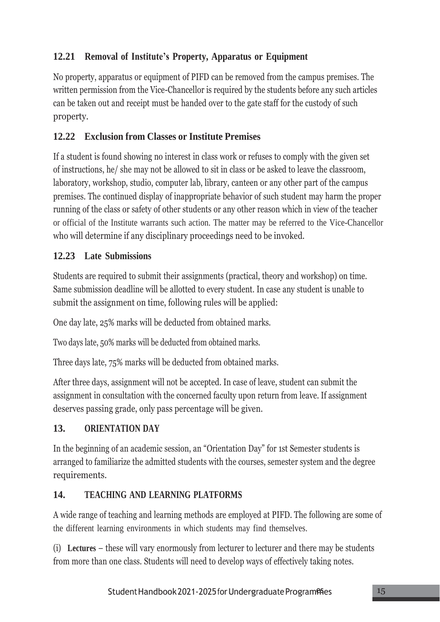# **12.21 Removal of Institute's Property, Apparatus or Equipment**

No property, apparatus or equipment of PIFD can be removed from the campus premises. The written permission from the Vice-Chancellor is required by the students before any such articles can be taken out and receipt must be handed over to the gate staff for the custody of such property.

# <span id="page-18-0"></span>**12.22 Exclusion from Classes or Institute Premises**

If a student is found showing no interest in class work or refuses to comply with the given set of instructions, he/ she may not be allowed to sit in class or be asked to leave the classroom, laboratory, workshop, studio, computer lab, library, canteen or any other part of the campus premises. The continued display of inappropriate behavior of such student may harm the proper running of the class or safety of other students or any other reason which in view of the teacher or official of the Institute warrants such action. The matter may be referred to the Vice-Chancellor who will determine if any disciplinary proceedings need to be invoked.

## **12.23 Late Submissions**

Students are required to submit their assignments (practical, theory and workshop) on time. Same submission deadline will be allotted to every student. In case any student is unable to submit the assignment on time, following rules will be applied:

One day late, 25% marks will be deducted from obtained marks.

Two days late, 50% marks will be deducted from obtained marks.

Three days late, 75% marks will be deducted from obtained marks.

After three days, assignment will not be accepted. In case of leave, student can submit the assignment in consultation with the concerned faculty upon return from leave. If assignment deserves passing grade, only pass percentage will be given.

# <span id="page-18-1"></span>**13. ORIENTATION DAY**

In the beginning of an academic session, an "Orientation Day" for 1st Semester students is arranged to familiarize the admitted students with the courses, semester system and the degree requirements.

# <span id="page-18-2"></span>**14. TEACHING AND LEARNING PLATFORMS**

A wide range of teaching and learning methods are employed at PIFD. The following are some of the different learning environments in which students may find themselves.

(i) **Lectures** – these will vary enormously from lecturer to lecturer and there may be students from more than one class. Students will need to develop ways of effectively taking notes.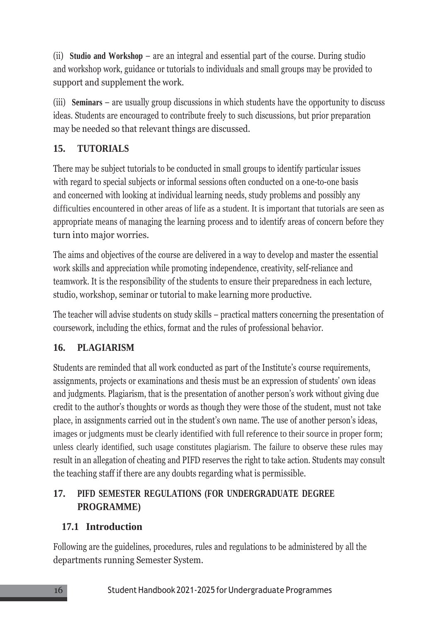(ii) **Studio and Workshop** – are an integral and essential part of the course. During studio and workshop work, guidance or tutorials to individuals and small groups may be provided to support and supplement the work.

(iii) **Seminars** – are usually group discussions in which students have the opportunity to discuss ideas. Students are encouraged to contribute freely to such discussions, but prior preparation may be needed so that relevant things are discussed.

# <span id="page-19-0"></span>**15. TUTORIALS**

There may be subject tutorials to be conducted in small groups to identify particular issues with regard to special subjects or informal sessions often conducted on a one-to-one basis and concerned with looking at individual learning needs, study problems and possibly any difficulties encountered in other areas of life as a student. It is important that tutorials are seen as appropriate means of managing the learning process and to identify areas of concern before they turn into major worries.

The aims and objectives of the course are delivered in a way to develop and master the essential work skills and appreciation while promoting independence, creativity, self-reliance and teamwork. It is the responsibility of the students to ensure their preparedness in each lecture, studio, workshop, seminar or tutorial to make learning more productive.

The teacher will advise students on study skills – practical matters concerning the presentation of coursework, including the ethics, format and the rules of professional behavior.

## <span id="page-19-1"></span>**16. PLAGIARISM**

Students are reminded that all work conducted as part of the Institute's course requirements, assignments, projects or examinations and thesis must be an expression of students' own ideas and judgments. Plagiarism, that is the presentation of another person's work without giving due credit to the author's thoughts or words as though they were those of the student, must not take place, in assignments carried out in the student's own name. The use of another person's ideas, images or judgments must be clearly identified with full reference to their source in proper form; unless clearly identified, such usage constitutes plagiarism. The failure to observe these rules may result in an allegation of cheating and PIFD reserves the right to take action. Students may consult the teaching staff if there are any doubts regarding what is permissible.

# **17. PIFD SEMESTER REGULATIONS (FOR UNDERGRADUATE DEGREE PROGRAMME)**

# <span id="page-19-2"></span>**17.1 Introduction**

Following are the guidelines, procedures, rules and regulations to be administered by all the departments running Semester System.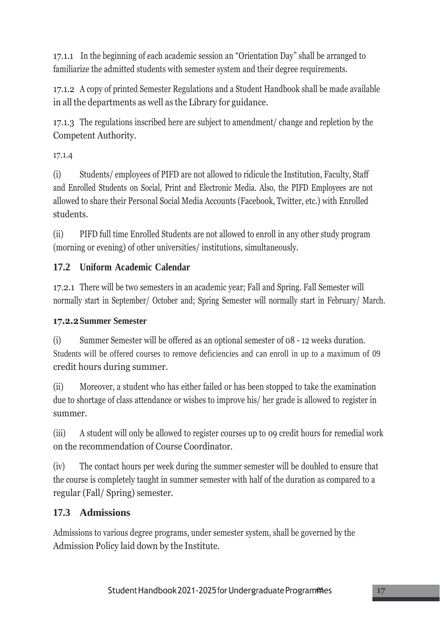17.1.1 In the beginning of each academic session an "Orientation Day" shall be arranged to familiarize the admitted students with semester system and their degree requirements.

17.1.2 A copy of printed Semester Regulations and a Student Handbook shall be made available in all the departments as well as the Library for guidance.

17.1.3 The regulations inscribed here are subject to amendment/ change and repletion by the Competent Authority.

17.1.4

(i) Students/ employees of PIFD are not allowed to ridicule the Institution, Faculty, Staff and Enrolled Students on Social, Print and Electronic Media. Also, the PIFD Employees are not allowed to share their Personal Social Media Accounts (Facebook, Twitter, etc.) with Enrolled students.

(ii) PIFD full time Enrolled Students are not allowed to enroll in any other study program (morning or evening) of other universities/ institutions, simultaneously.

# **17.2 Uniform Academic Calendar**

17.2.1 There will be two semesters in an academic year; Fall and Spring. Fall Semester will normally start in September/ October and; Spring Semester will normally start in February/ March.

# **17.2.2Summer Semester**

(i) Summer Semester will be offered as an optional semester of 08 - 12 weeks duration. Students will be offered courses to remove deficiencies and can enroll in up to a maximum of 09 credit hours during summer.

(ii) Moreover, a student who has either failed or has been stopped to take the examination due to shortage of class attendance or wishes to improve his/ her grade is allowed to register in summer.

(iii) A student will only be allowed to register courses up to 09 credit hours for remedial work on the recommendation of Course Coordinator.

(iv) The contact hours per week during the summer semester will be doubled to ensure that the course is completely taught in summer semester with half of the duration as compared to a regular (Fall/ Spring) semester.

# **17.3 Admissions**

Admissions to various degree programs, under semester system, shall be governed by the Admission Policy laid down by the Institute.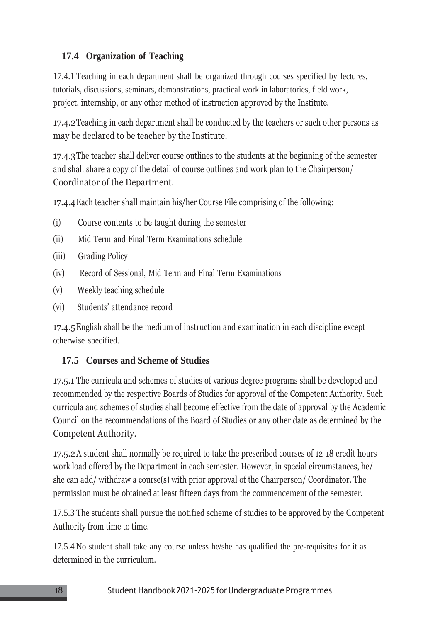# **17.4 Organization of Teaching**

17.4.1 Teaching in each department shall be organized through courses specified by lectures, tutorials, discussions, seminars, demonstrations, practical work in laboratories, field work, project, internship, or any other method of instruction approved by the Institute.

17.4.2Teaching in each department shall be conducted by the teachers or such other persons as may be declared to be teacher by the Institute.

17.4.3The teacher shall deliver course outlines to the students at the beginning of the semester and shall share a copy of the detail of course outlines and work plan to the Chairperson/ Coordinator of the Department.

17.4.4Each teacher shall maintain his/her Course File comprising of the following:

- (i) Course contents to be taught during the semester
- (ii) Mid Term and Final Term Examinations schedule
- (iii) Grading Policy
- (iv) Record of Sessional, Mid Term and Final Term Examinations
- (v) Weekly teaching schedule
- (vi) Students' attendance record

17.4.5English shall be the medium of instruction and examination in each discipline except otherwise specified.

## **17.5 Courses and Scheme of Studies**

17.5.1 The curricula and schemes of studies of various degree programs shall be developed and recommended by the respective Boards of Studies for approval of the Competent Authority. Such curricula and schemes of studies shall become effective from the date of approval by the Academic Council on the recommendations of the Board of Studies or any other date as determined by the Competent Authority.

17.5.2A student shall normally be required to take the prescribed courses of 12-18 credit hours work load offered by the Department in each semester. However, in special circumstances, he/ she can add/ withdraw a course(s) with prior approval of the Chairperson/ Coordinator. The permission must be obtained at least fifteen days from the commencement of the semester.

17.5.3 The students shall pursue the notified scheme of studies to be approved by the Competent Authority from time to time.

17.5.4 No student shall take any course unless he/she has qualified the pre-requisites for it as determined in the curriculum.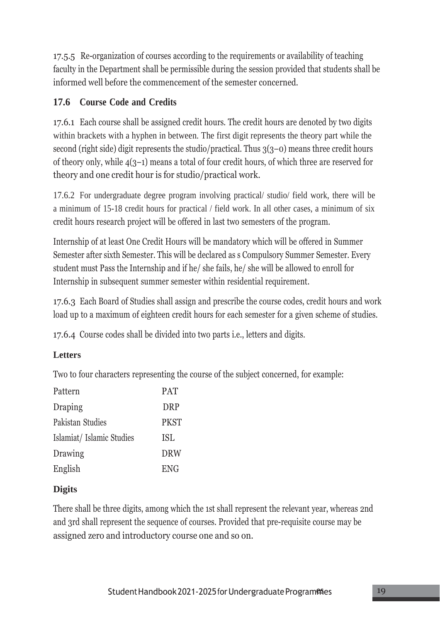17.5.5 Re-organization of courses according to the requirements or availability of teaching faculty in the Department shall be permissible during the session provided that students shall be informed well before the commencement of the semester concerned.

# **17.6 Course Code and Credits**

17.6.1 Each course shall be assigned credit hours. The credit hours are denoted by two digits within brackets with a hyphen in between. The first digit represents the theory part while the second (right side) digit represents the studio/practical. Thus 3(3–0) means three credit hours of theory only, while 4(3–1) means a total of four credit hours, of which three are reserved for theory and one credit hour is for studio/practical work.

17.6.2 For undergraduate degree program involving practical/ studio/ field work, there will be a minimum of 15-18 credit hours for practical / field work. In all other cases, a minimum of six credit hours research project will be offered in last two semesters of the program.

Internship of at least One Credit Hours will be mandatory which will be offered in Summer Semester after sixth Semester. This will be declared as s Compulsory Summer Semester. Every student must Pass the Internship and if he/ she fails, he/ she will be allowed to enroll for Internship in subsequent summer semester within residential requirement.

17.6.3 Each Board of Studies shall assign and prescribe the course codes, credit hours and work load up to a maximum of eighteen credit hours for each semester for a given scheme of studies.

17.6.4 Course codes shall be divided into two parts i.e., letters and digits.

# **Letters**

Two to four characters representing the course of the subject concerned, for example:

| <b>PAT</b>  |
|-------------|
| <b>DRP</b>  |
| <b>PKST</b> |
| <b>ISL</b>  |
| <b>DRW</b>  |
| <b>ENG</b>  |
|             |

## **Digits**

There shall be three digits, among which the 1st shall represent the relevant year, whereas 2nd and 3rd shall represent the sequence of courses. Provided that pre-requisite course may be assigned zero and introductory course one and so on.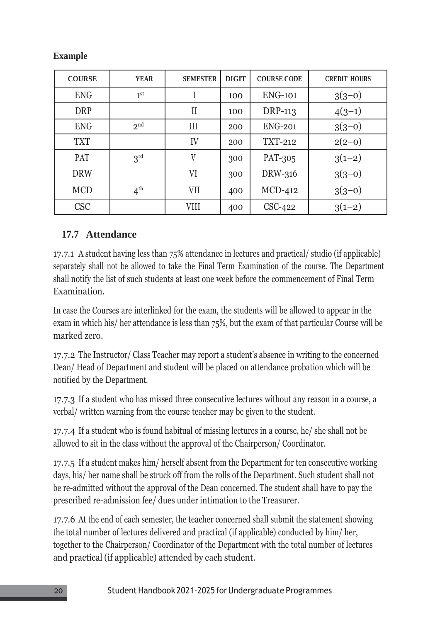| <b>COURSE</b> | <b>YEAR</b>     | <b>SEMESTER</b> | <b>DIGIT</b> | <b>COURSE CODE</b> | <b>CREDIT HOURS</b> |
|---------------|-----------------|-----------------|--------------|--------------------|---------------------|
| <b>ENG</b>    | $1^{\rm st}$    |                 | 100          | <b>ENG-101</b>     | $3(3-0)$            |
| <b>DRP</b>    |                 | $\rm II$        | 100          | <b>DRP-113</b>     | $4(3-1)$            |
| <b>ENG</b>    | 2 <sup>nd</sup> | III             | 200          | <b>ENG-201</b>     | $3(3-0)$            |
| <b>TXT</b>    |                 | IV              | 200          | <b>TXT-212</b>     | $2(2-0)$            |
| <b>PAT</b>    | 3 <sup>rd</sup> | V               | 300          | PAT-305            | $3(1-2)$            |
| <b>DRW</b>    |                 | VI              | 300          | DRW-316            | $3(3-0)$            |
| <b>MCD</b>    | $4^{\text{th}}$ | VII             | 400          | $MCD-412$          | $3(3-0)$            |
| <b>CSC</b>    |                 | <b>VIII</b>     | 400          | $CSC-422$          | $3(1-2)$            |

#### **Example**

#### **17.7 Attendance**

17.7.1 A student having less than 75% attendance in lectures and practical/ studio (if applicable) separately shall not be allowed to take the Final Term Examination of the course. The Department shall notify the list of such students at least one week before the commencement of Final Term Examination.

In case the Courses are interlinked for the exam, the students will be allowed to appear in the exam in which his/ her attendance is less than 75%, but the exam of that particular Course will be marked zero.

17.7.2 The Instructor/ Class Teacher may report a student's absence in writing to the concerned Dean/ Head of Department and student will be placed on attendance probation which will be notified by the Department.

17.7.3 If a student who has missed three consecutive lectures without any reason in a course, a verbal/ written warning from the course teacher may be given to the student.

17.7.4 If a student who is found habitual of missing lectures in a course, he/ she shall not be allowed to sit in the class without the approval of the Chairperson/ Coordinator.

17.7.5 If a student makes him/ herself absent from the Department for ten consecutive working days, his/ her name shall be struck off from the rolls of the Department. Such student shall not be re-admitted without the approval of the Dean concerned. The student shall have to pay the prescribed re-admission fee/ dues under intimation to the Treasurer.

17.7.6 At the end of each semester, the teacher concerned shall submit the statement showing the total number of lectures delivered and practical (if applicable) conducted by him/ her, together to the Chairperson/ Coordinator of the Department with the total number of lectures and practical (if applicable) attended by each student.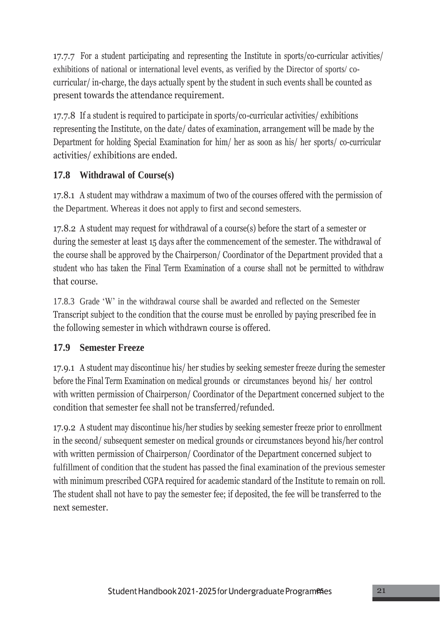17.7.7 For a student participating and representing the Institute in sports/co-curricular activities/ exhibitions of national or international level events, as verified by the Director of sports/ cocurricular/ in-charge, the days actually spent by the student in such events shall be counted as present towards the attendance requirement.

17.7.8 If a student is required to participate in sports/co-curricular activities/ exhibitions representing the Institute, on the date/ dates of examination, arrangement will be made by the Department for holding Special Examination for him/ her as soon as his/ her sports/ co-curricular activities/ exhibitions are ended.

## **17.8 Withdrawal of Course(s)**

17.8.1 A student may withdraw a maximum of two of the courses offered with the permission of the Department. Whereas it does not apply to first and second semesters.

17.8.2 A student may request for withdrawal of a course(s) before the start of a semester or during the semester at least 15 days after the commencement of the semester. The withdrawal of the course shall be approved by the Chairperson/ Coordinator of the Department provided that a student who has taken the Final Term Examination of a course shall not be permitted to withdraw that course.

17.8.3 Grade 'W' in the withdrawal course shall be awarded and reflected on the Semester Transcript subject to the condition that the course must be enrolled by paying prescribed fee in the following semester in which withdrawn course is offered.

## **17.9 Semester Freeze**

17.9.1 A student may discontinue his/ her studies by seeking semester freeze during the semester before the Final Term Examination on medical grounds or circumstances beyond his/ her control with written permission of Chairperson/ Coordinator of the Department concerned subject to the condition that semester fee shall not be transferred/refunded.

17.9.2 A student may discontinue his/her studies by seeking semester freeze prior to enrollment in the second/ subsequent semester on medical grounds or circumstances beyond his/her control with written permission of Chairperson/Coordinator of the Department concerned subject to fulfillment of condition that the student has passed the final examination of the previous semester with minimum prescribed CGPA required for academic standard of the Institute to remain on roll. The student shall not have to pay the semester fee; if deposited, the fee will be transferred to the next semester.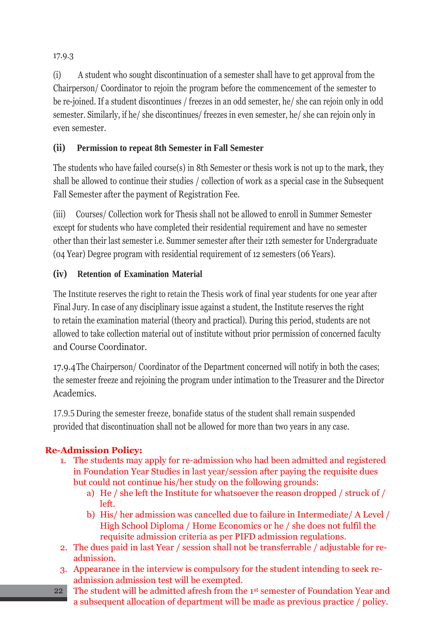17.9.3

(i) A student who sought discontinuation of a semester shall have to get approval from the Chairperson/ Coordinator to rejoin the program before the commencement of the semester to be re-joined. If a student discontinues / freezes in an odd semester, he/ she can rejoin only in odd semester. Similarly, if he/ she discontinues/ freezes in even semester, he/ she can rejoin only in even semester.

# **(ii) Permission to repeat 8th Semester in Fall Semester**

The students who have failed course(s) in 8th Semester or thesis work is not up to the mark, they shall be allowed to continue their studies / collection of work as a special case in the Subsequent Fall Semester after the payment of Registration Fee.

(iii) Courses/ Collection work for Thesis shall not be allowed to enroll in Summer Semester except for students who have completed their residential requirement and have no semester other than their last semester i.e. Summer semester after their 12th semester for Undergraduate (04 Year) Degree program with residential requirement of 12 semesters (06 Years).

# **(iv) Retention of Examination Material**

The Institute reserves the right to retain the Thesis work of final year students for one year after Final Jury. In case of any disciplinary issue against a student, the Institute reserves the right to retain the examination material (theory and practical). During this period, students are not allowed to take collection material out of institute without prior permission of concerned faculty and Course Coordinator.

17.9.4The Chairperson/ Coordinator of the Department concerned will notify in both the cases; the semester freeze and rejoining the program under intimation to the Treasurer and the Director Academics.

17.9.5 During the semester freeze, bonafide status of the student shall remain suspended provided that discontinuation shall not be allowed for more than two years in any case.

# **Re-Admission Policy:**

- 1. The students may apply for re-admission who had been admitted and registered in Foundation Year Studies in last year/session after paying the requisite dues but could not continue his/her study on the following grounds:
	- a) He / she left the Institute for whatsoever the reason dropped / struck of / left.
	- b) His/ her admission was cancelled due to failure in Intermediate/ A Level / High School Diploma / Home Economics or he / she does not fulfil the requisite admission criteria as per PIFD admission regulations.
- 2. The dues paid in last Year / session shall not be transferrable / adjustable for readmission.
- 3. Appearance in the interview is compulsory for the student intending to seek readmission admission test will be exempted.
- 22 The student will be admitted afresh from the 1st semester of Foundation Year and a subsequent allocation of department will be made as previous practice / policy.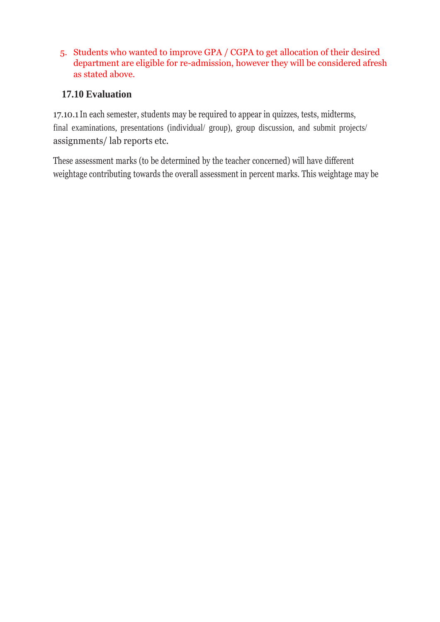#### 5. Students who wanted to improve GPA / CGPA to get allocation of their desired department are eligible for re-admission, however they will be considered afresh as stated above.

## **17.10 Evaluation**

17.10.1 In each semester, students may be required to appear in quizzes, tests, midterms, final examinations, presentations (individual/ group), group discussion, and submit projects/ assignments/ lab reports etc.

These assessment marks (to be determined by the teacher concerned) will have different weightage contributing towards the overall assessment in percent marks. This weightage may be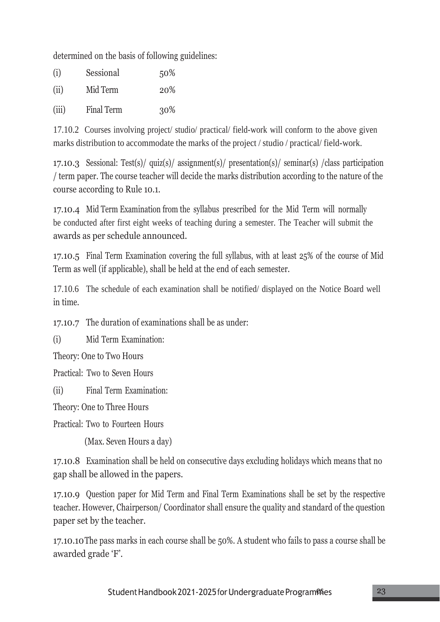determined on the basis of following guidelines:

| (i)   | Sessional         | 50% |
|-------|-------------------|-----|
| (ii)  | Mid Term          | 20% |
| (iii) | <b>Final Term</b> | 30% |

17.10.2 Courses involving project/ studio/ practical/ field-work will conform to the above given marks distribution to accommodate the marks of the project / studio / practical/ field-work.

17.10.3 Sessional: Test(s)/ quiz(s)/ assignment(s)/ presentation(s)/ seminar(s) /class participation / term paper. The course teacher will decide the marks distribution according to the nature of the course according to Rule 10.1.

17.10.4 Mid Term Examination from the syllabus prescribed for the Mid Term will normally be conducted after first eight weeks of teaching during a semester. The Teacher will submit the awards as per schedule announced.

17.10.5 Final Term Examination covering the full syllabus, with at least 25% of the course of Mid Term as well (if applicable), shall be held at the end of each semester.

17.10.6 The schedule of each examination shall be notified/ displayed on the Notice Board well in time.

17.10.7 The duration of examinations shall be as under:

(i) Mid Term Examination:

Theory: One to Two Hours

Practical: Two to Seven Hours

(ii) Final Term Examination:

Theory: One to Three Hours

Practical: Two to Fourteen Hours

(Max. Seven Hours a day)

17.10.8 Examination shall be held on consecutive days excluding holidays which means that no gap shall be allowed in the papers.

17.10.9 Question paper for Mid Term and Final Term Examinations shall be set by the respective teacher. However, Chairperson/ Coordinator shall ensure the quality and standard of the question paper set by the teacher.

17.10.10The pass marks in each course shall be 50%. A student who fails to pass a course shall be awarded grade 'F'.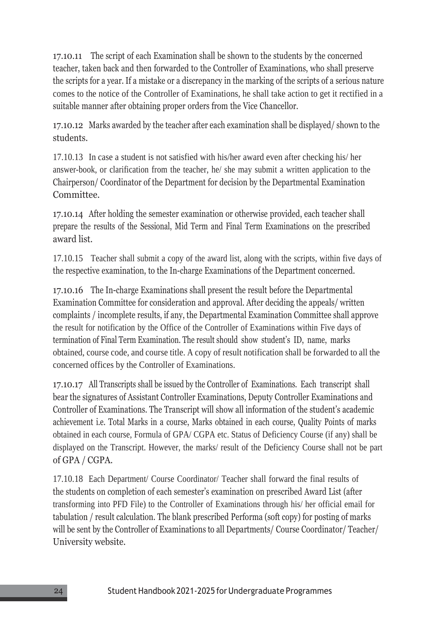17.10.11 The script of each Examination shall be shown to the students by the concerned teacher, taken back and then forwarded to the Controller of Examinations, who shall preserve the scripts for a year. If a mistake or a discrepancy in the marking of the scripts of a serious nature comes to the notice of the Controller of Examinations, he shall take action to get it rectified in a suitable manner after obtaining proper orders from the Vice Chancellor.

17.10.12 Marks awarded by the teacher after each examination shall be displayed/ shown to the students.

17.10.13 In case a student is not satisfied with his/her award even after checking his/ her answer-book, or clarification from the teacher, he/ she may submit a written application to the Chairperson/ Coordinator of the Department for decision by the Departmental Examination Committee.

17.10.14 After holding the semester examination or otherwise provided, each teacher shall prepare the results of the Sessional, Mid Term and Final Term Examinations on the prescribed award list.

17.10.15 Teacher shall submit a copy of the award list, along with the scripts, within five days of the respective examination, to the In-charge Examinations of the Department concerned.

17.10.16 The In-charge Examinations shall present the result before the Departmental Examination Committee for consideration and approval. After deciding the appeals/ written complaints / incomplete results, if any, the Departmental Examination Committee shall approve the result for notification by the Office of the Controller of Examinations within Five days of termination of Final Term Examination. The result should show student's ID, name, marks obtained, course code, and course title. A copy of result notification shall be forwarded to all the concerned offices by the Controller of Examinations.

17.10.17 All Transcripts shall be issued by the Controller of Examinations. Each transcript shall bear the signatures of Assistant Controller Examinations, Deputy Controller Examinations and Controller of Examinations. The Transcript will show all information of the student's academic achievement i.e. Total Marks in a course, Marks obtained in each course, Quality Points of marks obtained in each course, Formula of GPA/ CGPA etc. Status of Deficiency Course (if any) shall be displayed on the Transcript. However, the marks/ result of the Deficiency Course shall not be part of GPA / CGPA.

17.10.18 Each Department/ Course Coordinator/ Teacher shall forward the final results of the students on completion of each semester's examination on prescribed Award List (after transforming into PFD File) to the Controller of Examinations through his/ her official email for tabulation / result calculation. The blank prescribed Performa (soft copy) for posting of marks will be sent by the Controller of Examinations to all Departments/ Course Coordinator/ Teacher/ University website.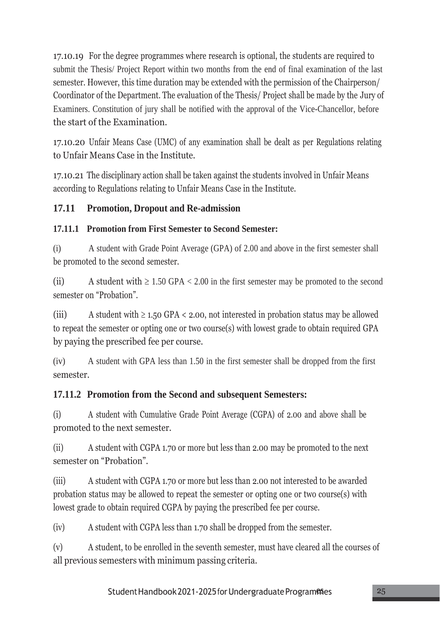17.10.19 For the degree programmes where research is optional, the students are required to submit the Thesis/ Project Report within two months from the end of final examination of the last semester. However, this time duration may be extended with the permission of the Chairperson/ Coordinator of the Department. The evaluation of the Thesis/ Project shall be made by the Jury of Examiners. Constitution of jury shall be notified with the approval of the Vice-Chancellor, before the start of the Examination.

17.10.20 Unfair Means Case (UMC) of any examination shall be dealt as per Regulations relating to Unfair Means Case in the Institute.

17.10.21 The disciplinary action shall be taken against the students involved in Unfair Means according to Regulations relating to Unfair Means Case in the Institute.

## **17.11 Promotion, Dropout and Re-admission**

## **17.11.1 Promotion from First Semester to Second Semester:**

(i) A student with Grade Point Average (GPA) of 2.00 and above in the first semester shall be promoted to the second semester.

(ii) A student with  $\geq 1.50$  GPA  $\lt$  2.00 in the first semester may be promoted to the second semester on "Probation".

(iii) A student with  $\geq$  1.50 GPA < 2.00, not interested in probation status may be allowed to repeat the semester or opting one or two course(s) with lowest grade to obtain required GPA by paying the prescribed fee per course.

(iv) A student with GPA less than 1.50 in the first semester shall be dropped from the first semester.

## **17.11.2 Promotion from the Second and subsequent Semesters:**

(i) A student with Cumulative Grade Point Average (CGPA) of 2.00 and above shall be promoted to the next semester.

(ii) A student with CGPA 1.70 or more but less than 2.00 may be promoted to the next semester on "Probation".

(iii) A student with CGPA 1.70 or more but less than 2.00 not interested to be awarded probation status may be allowed to repeat the semester or opting one or two course(s) with lowest grade to obtain required CGPA by paying the prescribed fee per course.

(iv) A student with CGPA less than 1.70 shall be dropped from the semester.

(v) A student, to be enrolled in the seventh semester, must have cleared all the courses of all previous semesters with minimum passing criteria.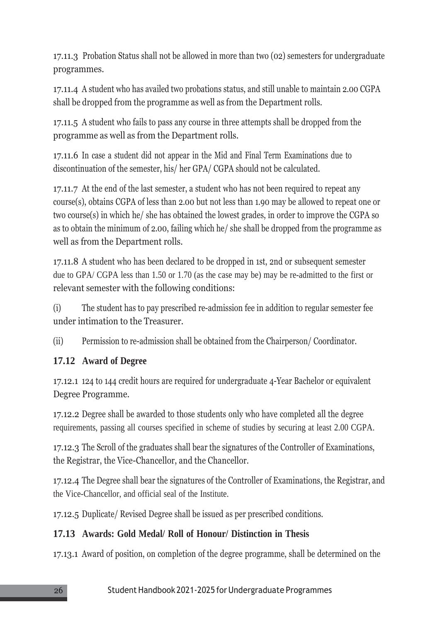17.11.3 Probation Status shall not be allowed in more than two (02) semesters for undergraduate programmes.

17.11.4 A student who has availed two probations status, and still unable to maintain 2.00 CGPA shall be dropped from the programme as well as from the Department rolls.

17.11.5 A student who fails to pass any course in three attempts shall be dropped from the programme as well as from the Department rolls.

17.11.6 In case a student did not appear in the Mid and Final Term Examinations due to discontinuation of the semester, his/ her GPA/ CGPA should not be calculated.

17.11.7 At the end of the last semester, a student who has not been required to repeat any course(s), obtains CGPA of less than 2.00 but not less than 1.90 may be allowed to repeat one or two course(s) in which he/ she has obtained the lowest grades, in order to improve the CGPA so as to obtain the minimum of 2.00, failing which he/ she shall be dropped from the programme as well as from the Department rolls.

17.11.8 A student who has been declared to be dropped in 1st, 2nd or subsequent semester due to GPA/ CGPA less than 1.50 or 1.70 (as the case may be) may be re-admitted to the first or relevant semester with the following conditions:

(i) The student has to pay prescribed re-admission fee in addition to regular semester fee under intimation to the Treasurer.

(ii) Permission to re-admission shall be obtained from the Chairperson/ Coordinator.

# **17.12 Award of Degree**

17.12.1 124 to 144 credit hours are required for undergraduate 4-Year Bachelor or equivalent Degree Programme.

17.12.2 Degree shall be awarded to those students only who have completed all the degree requirements, passing all courses specified in scheme of studies by securing at least 2.00 CGPA.

17.12.3 The Scroll of the graduates shall bear the signatures of the Controller of Examinations, the Registrar, the Vice-Chancellor, and the Chancellor.

17.12.4 The Degree shall bear the signatures of the Controller of Examinations, the Registrar, and the Vice-Chancellor, and official seal of the Institute.

17.12.5 Duplicate/ Revised Degree shall be issued as per prescribed conditions.

# **17.13 Awards: Gold Medal/ Roll of Honour/ Distinction in Thesis**

17.13.1 Award of position, on completion of the degree programme, shall be determined on the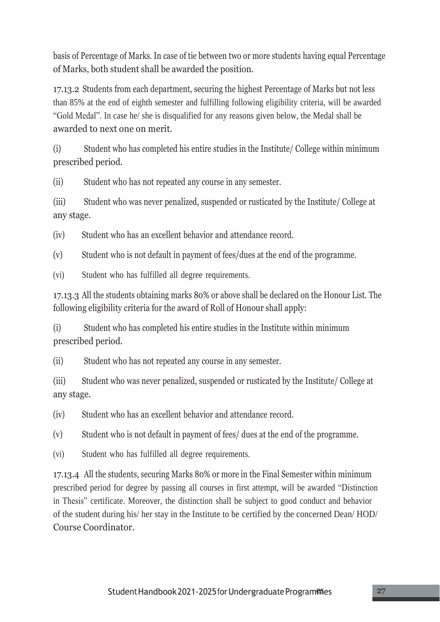basis of Percentage of Marks. In case of tie between two or more students having equal Percentage of Marks, both student shall be awarded the position.

17.13.2 Students from each department, securing the highest Percentage of Marks but not less than 85% at the end of eighth semester and fulfilling following eligibility criteria, will be awarded "Gold Medal". In case he/ she is disqualified for any reasons given below, the Medal shall be awarded to next one on merit.

(i) Student who has completed his entire studies in the Institute/ College within minimum prescribed period.

(ii) Student who has not repeated any course in any semester.

(iii) Student who was never penalized, suspended or rusticated by the Institute/ College at any stage.

(iv) Student who has an excellent behavior and attendance record.

(v) Student who is not default in payment of fees/dues at the end of the programme.

(vi) Student who has fulfilled all degree requirements.

17.13.3 All the students obtaining marks 80% or above shall be declared on the Honour List. The following eligibility criteria for the award of Roll of Honour shall apply:

(i) Student who has completed his entire studies in the Institute within minimum prescribed period.

(ii) Student who has not repeated any course in any semester.

(iii) Student who was never penalized, suspended or rusticated by the Institute/ College at any stage.

(iv) Student who has an excellent behavior and attendance record.

(v) Student who is not default in payment of fees/ dues at the end of the programme.

(vi) Student who has fulfilled all degree requirements.

17.13.4 All the students, securing Marks 80% or more in the Final Semester within minimum prescribed period for degree by passing all courses in first attempt, will be awarded "Distinction in Thesis" certificate. Moreover, the distinction shall be subject to good conduct and behavior of the student during his/ her stay in the Institute to be certified by the concerned Dean/ HOD/ Course Coordinator.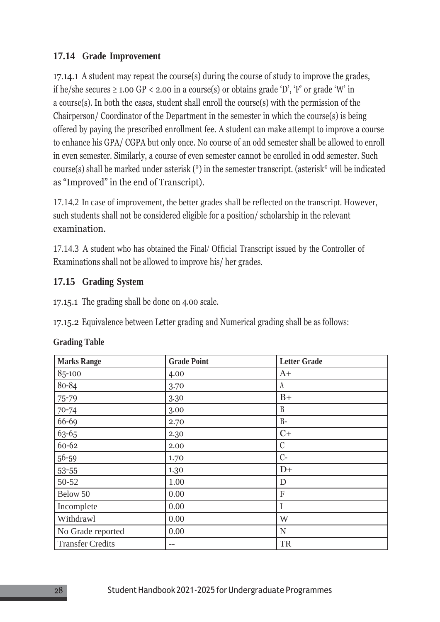## **17.14 Grade Improvement**

17.14.1 A student may repeat the course(s) during the course of study to improve the grades, if he/she secures  $\geq 1.00$  GP < 2.00 in a course(s) or obtains grade 'D', 'F' or grade 'W' in a course(s). In both the cases, student shall enroll the course(s) with the permission of the Chairperson/ Coordinator of the Department in the semester in which the course(s) is being offered by paying the prescribed enrollment fee. A student can make attempt to improve a course to enhance his GPA/ CGPA but only once. No course of an odd semester shall be allowed to enroll in even semester. Similarly, a course of even semester cannot be enrolled in odd semester. Such course(s) shall be marked under asterisk (\*) in the semester transcript. (asterisk\* will be indicated as "Improved" in the end of Transcript).

17.14.2 In case of improvement, the better grades shall be reflected on the transcript. However, such students shall not be considered eligible for a position/ scholarship in the relevant examination.

17.14.3 A student who has obtained the Final/ Official Transcript issued by the Controller of Examinations shall not be allowed to improve his/ her grades.

#### **17.15 Grading System**

17.15.1 The grading shall be done on 4.00 scale.

17.15.2 Equivalence between Letter grading and Numerical grading shall be as follows:

| <b>Marks Range</b>      | <b>Grade Point</b> | <b>Letter Grade</b>       |
|-------------------------|--------------------|---------------------------|
| 85-100                  | 4.00               | $A+$                      |
| 80-84                   | 3.70               | A                         |
| 75-79                   | 3.30               | $B+$                      |
| $70 - 74$               | 3.00               | B                         |
| 66-69                   | 2.70               | $B -$                     |
| 63-65                   | 2.30               | $C+$                      |
| 60-62                   | 2.00               | C                         |
| $56 - 59$               | 1.70               | $C-$                      |
| 53-55                   | 1.30               | $D+$                      |
| 50-52                   | 1.00               | $\mathbf D$               |
| Below 50                | 0.00               | $\boldsymbol{\mathrm{F}}$ |
| Incomplete              | 0.00               | I                         |
| Withdrawl               | 0.00               | W                         |
| No Grade reported       | 0.00               | ${\bf N}$                 |
| <b>Transfer Credits</b> | $\qquad \qquad -$  | TR                        |

#### **Grading Table**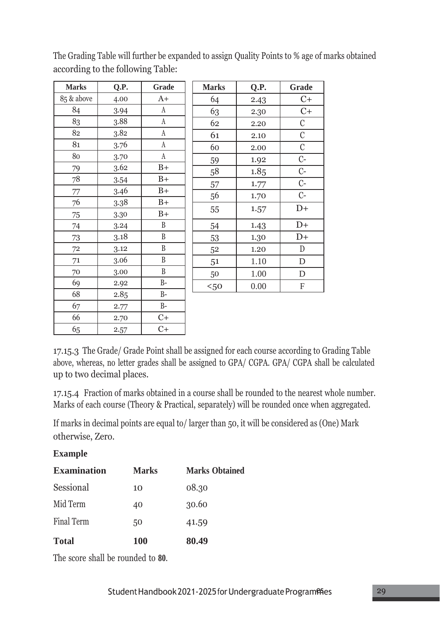| <b>Marks</b> | Q.P. | <b>Grade</b>     | <b>Marks</b> | Q.P. | Grade         |
|--------------|------|------------------|--------------|------|---------------|
| 85 & above   | 4.00 | $A+$             | 64           | 2.43 | $C+$          |
| 84           | 3.94 | $\rm A$          | 63           | 2.30 | $C+$          |
| 83           | 3.88 | $\rm A$          | 62           | 2.20 | $\mathcal{C}$ |
| 82           | 3.82 | $\rm A$          | 61           | 2.10 | $\mathbf C$   |
| 81           | 3.76 | $\rm A$          | 60           | 2.00 | $\mathbf C$   |
| 80           | 3.70 | $\boldsymbol{A}$ | 59           | 1.92 | $C-$          |
| 79           | 3.62 | $B+$             | 58           | 1.85 | $C-$          |
| 78           | 3.54 | $B+$             | 57           | 1.77 | $C-$          |
| 77           | 3.46 | $B+$             | 56           | 1.70 | $C-$          |
| 76           | 3.38 | $B+$             |              |      | $D+$          |
| 75           | 3.30 | $B+$             | 55           | 1.57 |               |
| 74           | 3.24 | $\, {\bf B}$     | 54           | 1.43 | $D+$          |
| 73           | 3.18 | $\, {\bf B}$     | 53           | 1.30 | $D+$          |
| $72\,$       | 3.12 | $\, {\bf B}$     | 52           | 1.20 | ${\mathbb D}$ |
| 71           | 3.06 | $\, {\bf B}$     | 51           | 1.10 | ${\mathbb D}$ |
| 70           | 3.00 | $\boldsymbol{B}$ | 50           | 1.00 | ${\rm D}$     |
| 69           | 2.92 | $B -$            | $50$         | 0.00 | $\mathbf F$   |
| 68           | 2.85 | $B-$             |              |      |               |
| 67           | 2.77 | $B-$             |              |      |               |
| 66           | 2.70 | $C+$             |              |      |               |
| 65           | 2.57 | $C+$             |              |      |               |

The Grading Table will further be expanded to assign Quality Points to % age of marks obtained according to the following Table:

**Marks Q.P. Grade**

17.15.3 The Grade/ Grade Point shall be assigned for each course according to Grading Table above, whereas, no letter grades shall be assigned to GPA/ CGPA. GPA/ CGPA shall be calculated up to two decimal places.

17.15.4 Fraction of marks obtained in a course shall be rounded to the nearest whole number. Marks of each course (Theory & Practical, separately) will be rounded once when aggregated.

If marks in decimal points are equal to/ larger than 50, it will be considered as (One) Mark otherwise, Zero.

#### **Example**

| <b>Examination</b> | <b>Marks</b> | <b>Marks Obtained</b> |
|--------------------|--------------|-----------------------|
| Sessional          | 10           | 08.30                 |
| Mid Term           | 40           | 30.60                 |
| Final Term         | 50           | 41.59                 |
| <b>Total</b>       | <b>100</b>   | 80.49                 |

The score shall be rounded to **80**.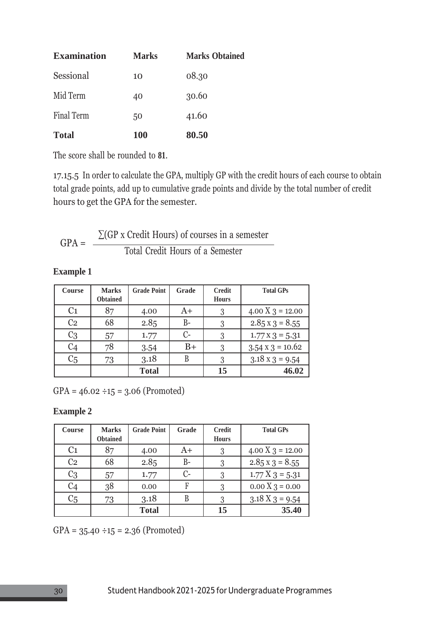| <b>Examination</b> | <b>Marks</b> | <b>Marks Obtained</b> |
|--------------------|--------------|-----------------------|
| Sessional          | 10           | 08.30                 |
| Mid Term           | 40           | 30.60                 |
| <b>Final Term</b>  | 50           | 41.60                 |
| <b>Total</b>       | 100          | 80.50                 |

The score shall be rounded to **81**.

17.15.5 In order to calculate the GPA, multiply GP with the credit hours of each course to obtain total grade points, add up to cumulative grade points and divide by the total number of credit hours to get the GPA for the semester.

$$
GPA = \frac{\sum(GP \times Credit Hours) \text{ of courses in a semester}}{\text{Total Credit Hours of a Semester}}
$$

**Example 1**

| <b>Course</b>  | <b>Marks</b><br><b>Obtained</b> | <b>Grade Point</b> | Grade | <b>Credit</b><br><b>Hours</b> | <b>Total GPs</b>        |
|----------------|---------------------------------|--------------------|-------|-------------------------------|-------------------------|
| C <sub>1</sub> | 87                              | 4.00               | $A+$  | 3                             | 4.00 X $3 = 12.00$      |
| C <sub>2</sub> | 68                              | 2.85               | $B-$  |                               | $2.85 \times 3 = 8.55$  |
| C <sub>3</sub> | 57                              | 1.77               | $C-$  |                               | $1.77 \times 3 = 5.31$  |
| C4             | 78                              | 3.54               | $B+$  |                               | $3.54 \times 3 = 10.62$ |
| C <sub>5</sub> | 73                              | 3.18               | B     |                               | $3.18 \times 3 = 9.54$  |
|                |                                 | <b>Total</b>       |       | 15                            | 46.02                   |

 $GPA = 46.02 \div 15 = 3.06$  (Promoted)

#### **Example 2**

| Course         | <b>Marks</b><br><b>Obtained</b> | <b>Grade Point</b> | Grade | <b>Credit</b><br><b>Hours</b> | <b>Total GPs</b>       |
|----------------|---------------------------------|--------------------|-------|-------------------------------|------------------------|
| C <sub>1</sub> | 87                              | 4.00               | $A+$  | 3                             | 4.00 X $3 = 12.00$     |
| C <sub>2</sub> | 68                              | 2.85               | $B-$  |                               | $2.85 \times 3 = 8.55$ |
| C <sub>3</sub> | 57                              | 1.77               | $C-$  |                               | $1.77 X 3 = 5.31$      |
| C4             | 38                              | 0.00               | F     | ূ                             | $0.00 X_3 = 0.00$      |
| C <sub>5</sub> | 73                              | 3.18               | B     |                               | $3.18 X 3 = 9.54$      |
|                |                                 | <b>Total</b>       |       | 15                            | 35.40                  |

 $GPA = 35.40 \div 15 = 2.36$  (Promoted)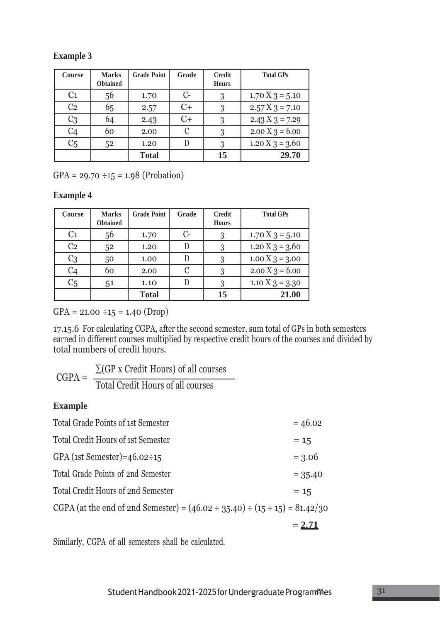| Course         | <b>Marks</b><br><b>Obtained</b> | <b>Grade Point</b> | Grade | <b>Credit</b><br><b>Hours</b> | <b>Total GPs</b>  |
|----------------|---------------------------------|--------------------|-------|-------------------------------|-------------------|
| C <sub>1</sub> | 56                              | 1.70               | $C-$  |                               | $1.70 X3 = 5.10$  |
| C <sub>2</sub> | 65                              | 2.57               | $C+$  |                               | $2.57 X 3 = 7.10$ |
| C <sub>3</sub> | 64                              | 2.43               | $C+$  |                               | $2.43 X 3 = 7.29$ |
| C4             | 60                              | 2.00               |       | ৽৽                            | $2.00 X_3 = 6.00$ |
| C <sub>5</sub> | 52                              | 1.20               |       |                               | $1.20 X 3 = 3.60$ |
|                |                                 | <b>Total</b>       |       | 15                            | 29.70             |

#### **Example 3**

 $GPA = 29.70 \div 15 = 1.98$  (Probation)

#### **Example 4**

| Course         | <b>Marks</b><br><b>Obtained</b> | <b>Grade Point</b> | Grade         | <b>Credit</b><br><b>Hours</b> | <b>Total GPs</b>  |
|----------------|---------------------------------|--------------------|---------------|-------------------------------|-------------------|
| C <sub>1</sub> | 56                              | 1.70               | $C$ -         |                               | $1.70 X3 = 5.10$  |
| C <sub>2</sub> | 52                              | 1.20               |               | ্                             | $1.20 X 3 = 3.60$ |
| C3             | 50                              | 1.00               |               | 3                             | $1.00 X_3 = 3.00$ |
| C4             | 60                              | 2.00               | $\mathcal{C}$ | 3                             | $2.00 X_3 = 6.00$ |
| C <sub>5</sub> | 51                              | 1.10               |               |                               | 1.10 X $3 = 3.30$ |
|                |                                 | <b>Total</b>       |               | 15                            | 21.00             |

 $GPA = 21.00 \div 15 = 1.40$  (Drop)

17.15.6 For calculating CGPA, after the second semester, sum total of GPs in both semesters earned in different courses multiplied by respective credit hours of the courses and divided by total numbers of credit hours.

CGPA =  $\Sigma$ (GP x Credit Hours) of all courses Total Credit Hours of all courses

#### **Example**

| <b>Total Grade Points of 1st Semester</b>                                       | $= 46.02$ |
|---------------------------------------------------------------------------------|-----------|
| <b>Total Credit Hours of 1st Semester</b>                                       | $= 1.5$   |
| GPA (1st Semester)= $46.02 \div 15$                                             | $= 3.06$  |
| Total Grade Points of 2nd Semester                                              | $= 35.40$ |
| <b>Total Credit Hours of 2nd Semester</b>                                       | $= 15$    |
| CGPA (at the end of 2nd Semester) = $(46.02 + 35.40) \div (15 + 15) = 81.42/30$ |           |
|                                                                                 | $= 2.71$  |

Similarly, CGPA of all semesters shall be calculated.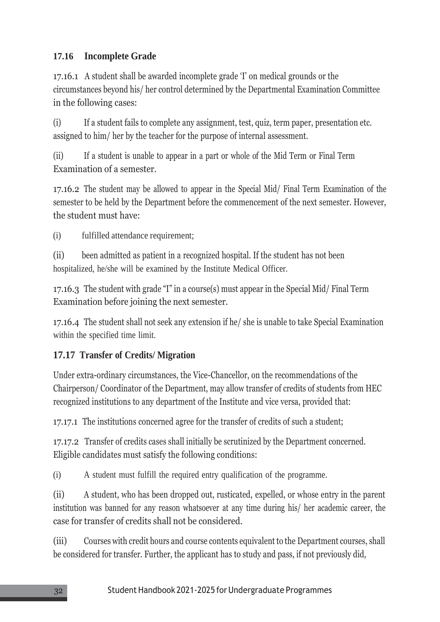## **17.16 Incomplete Grade**

17.16.1 A student shall be awarded incomplete grade 'I' on medical grounds or the circumstances beyond his/ her control determined by the Departmental Examination Committee in the following cases:

(i) If a student fails to complete any assignment, test, quiz, term paper, presentation etc. assigned to him/ her by the teacher for the purpose of internal assessment.

(ii) If a student is unable to appear in a part or whole of the Mid Term or Final Term Examination of a semester.

17.16.2 The student may be allowed to appear in the Special Mid/ Final Term Examination of the semester to be held by the Department before the commencement of the next semester. However, the student must have:

(i) fulfilled attendance requirement;

(ii) been admitted as patient in a recognized hospital. If the student has not been hospitalized, he/she will be examined by the Institute Medical Officer.

17.16.3 The student with grade "I" in a course(s) must appear in the Special Mid/ Final Term Examination before joining the next semester.

17.16.4 The student shall not seek any extension if he/ she is unable to take Special Examination within the specified time limit.

## **17.17 Transfer of Credits/ Migration**

Under extra-ordinary circumstances, the Vice-Chancellor, on the recommendations of the Chairperson/ Coordinator of the Department, may allow transfer of credits of students from HEC recognized institutions to any department of the Institute and vice versa, provided that:

17.17.1 The institutions concerned agree for the transfer of credits of such a student;

17.17.2 Transfer of credits cases shall initially be scrutinized by the Department concerned. Eligible candidates must satisfy the following conditions:

(i) A student must fulfill the required entry qualification of the programme.

(ii) A student, who has been dropped out, rusticated, expelled, or whose entry in the parent institution was banned for any reason whatsoever at any time during his/ her academic career, the case for transfer of credits shall not be considered.

(iii) Courses with credit hours and course contents equivalent to the Department courses, shall be considered for transfer. Further, the applicant has to study and pass, if not previously did,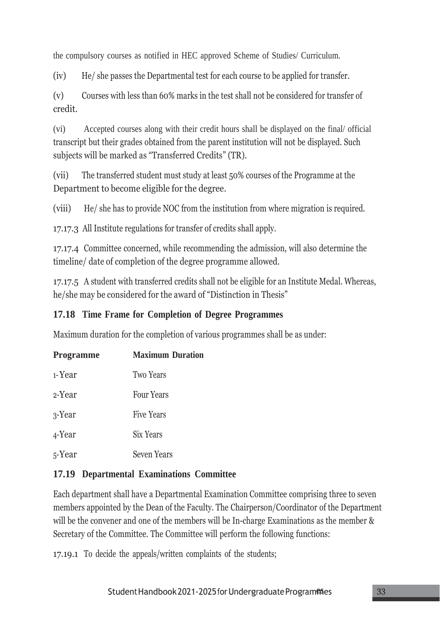the compulsory courses as notified in HEC approved Scheme of Studies/ Curriculum.

(iv) He/ she passes the Departmental test for each course to be applied for transfer.

(v) Courses with less than 60% marks in the test shall not be considered for transfer of credit.

(vi) Accepted courses along with their credit hours shall be displayed on the final/ official transcript but their grades obtained from the parent institution will not be displayed. Such subjects will be marked as "Transferred Credits" (TR).

(vii) The transferred student must study at least 50% courses of the Programme at the Department to become eligible for the degree.

(viii) He/ she has to provide NOC from the institution from where migration is required.

17.17.3 All Institute regulations for transfer of credits shall apply.

17.17.4 Committee concerned, while recommending the admission, will also determine the timeline/ date of completion of the degree programme allowed.

17.17.5 A student with transferred credits shall not be eligible for an Institute Medal. Whereas, he/she may be considered for the award of "Distinction in Thesis"

## **17.18 Time Frame for Completion of Degree Programmes**

Maximum duration for the completion of various programmes shall be as under:

| <b>Programme</b> | <b>Maximum Duration</b> |
|------------------|-------------------------|
| 1-Year           | <b>Two Years</b>        |
| 2-Year           | <b>Four Years</b>       |
| 3-Year           | <b>Five Years</b>       |
| 4-Year           | Six Years               |
| 5-Year           | <b>Seven Years</b>      |

# **17.19 Departmental Examinations Committee**

Each department shall have a Departmental Examination Committee comprising three to seven members appointed by the Dean of the Faculty. The Chairperson/Coordinator of the Department will be the convener and one of the members will be In-charge Examinations as the member & Secretary of the Committee. The Committee will perform the following functions:

17.19.1 To decide the appeals/written complaints of the students;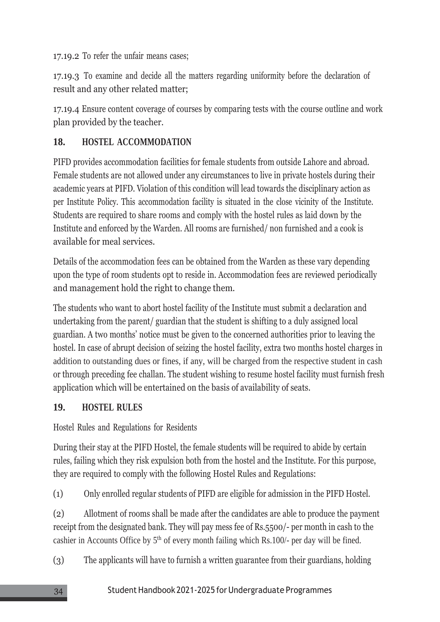17.19.2 To refer the unfair means cases;

17.19.3 To examine and decide all the matters regarding uniformity before the declaration of result and any other related matter;

17.19.4 Ensure content coverage of courses by comparing tests with the course outline and work plan provided by the teacher.

## **18. HOSTEL ACCOMMODATION**

PIFD provides accommodation facilities for female students from outside Lahore and abroad. Female students are not allowed under any circumstances to live in private hostels during their academic years at PIFD. Violation of this condition will lead towards the disciplinary action as per Institute Policy. This accommodation facility is situated in the close vicinity of the Institute. Students are required to share rooms and comply with the hostel rules as laid down by the Institute and enforced by the Warden. All rooms are furnished/ non furnished and a cook is available for meal services.

Details of the accommodation fees can be obtained from the Warden as these vary depending upon the type of room students opt to reside in. Accommodation fees are reviewed periodically and management hold the right to change them.

The students who want to abort hostel facility of the Institute must submit a declaration and undertaking from the parent/ guardian that the student is shifting to a duly assigned local guardian. A two months' notice must be given to the concerned authorities prior to leaving the hostel. In case of abrupt decision of seizing the hostel facility, extra two months hostel charges in addition to outstanding dues or fines, if any, will be charged from the respective student in cash or through preceding fee challan. The student wishing to resume hostel facility must furnish fresh application which will be entertained on the basis of availability of seats.

## **19. HOSTEL RULES**

Hostel Rules and Regulations for Residents

During their stay at the PIFD Hostel, the female students will be required to abide by certain rules, failing which they risk expulsion both from the hostel and the Institute. For this purpose, they are required to comply with the following Hostel Rules and Regulations:

(1) Only enrolled regular students of PIFD are eligible for admission in the PIFD Hostel.

(2) Allotment of rooms shall be made after the candidates are able to produce the payment receipt from the designated bank. They will pay mess fee of Rs.5500/- per month in cash to the cashier in Accounts Office by  $5<sup>th</sup>$  of every month failing which Rs.100/- per day will be fined.

(3) The applicants will have to furnish a written guarantee from their guardians, holding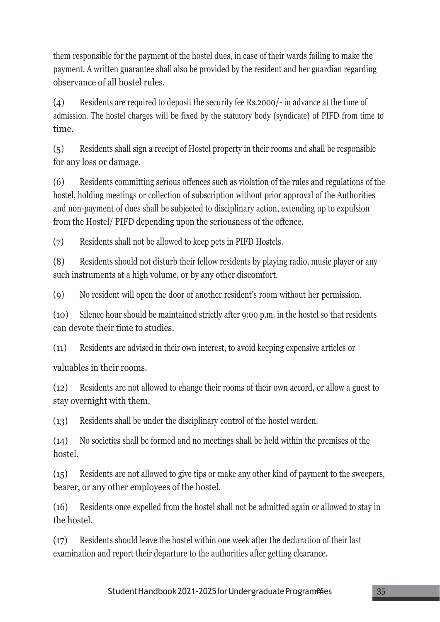them responsible for the payment of the hostel dues, in case of their wards failing to make the payment. A written guarantee shall also be provided by the resident and her guardian regarding observance of all hostel rules.

(4) Residents are required to deposit the security fee Rs.2000/- in advance at the time of admission. The hostel charges will be fixed by the statutory body (syndicate) of PIFD from time to time.

(5) Residents shall sign a receipt of Hostel property in their rooms and shall be responsible for any loss or damage.

(6) Residents committing serious offences such as violation of the rules and regulations of the hostel, holding meetings or collection of subscription without prior approval of the Authorities and non-payment of dues shall be subjected to disciplinary action, extending up to expulsion from the Hostel/ PIFD depending upon the seriousness of the offence.

(7) Residents shall not be allowed to keep pets in PIFD Hostels.

(8) Residents should not disturb their fellow residents by playing radio, music player or any such instruments at a high volume, or by any other discomfort.

(9) No resident will open the door of another resident's room without her permission.

(10) Silence hour should be maintained strictly after 9:00 p.m. in the hostel so that residents can devote their time to studies.

(11) Residents are advised in their own interest, to avoid keeping expensive articles or

valuables in their rooms.

(12) Residents are not allowed to change their rooms of their own accord, or allow a guest to stay overnight with them.

(13) Residents shall be under the disciplinary control of the hostel warden.

(14) No societies shall be formed and no meetings shall be held within the premises of the hostel.

(15) Residents are not allowed to give tips or make any other kind of payment to the sweepers, bearer, or any other employees of the hostel.

(16) Residents once expelled from the hostel shall not be admitted again or allowed to stay in the hostel.

(17) Residents should leave the hostel within one week after the declaration of their last examination and report their departure to the authorities after getting clearance.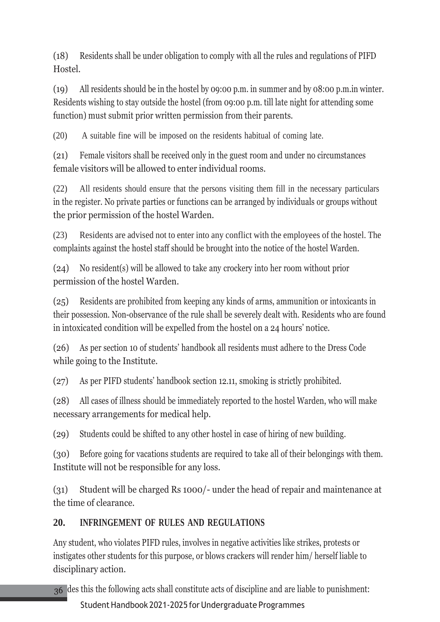(18) Residents shall be under obligation to comply with all the rules and regulations of PIFD Hostel.

(19) All residents should be in the hostel by 09:00 p.m. in summer and by 08:00 p.m.in winter. Residents wishing to stay outside the hostel (from 09:00 p.m. till late night for attending some function) must submit prior written permission from their parents.

(20) A suitable fine will be imposed on the residents habitual of coming late.

(21) Female visitors shall be received only in the guest room and under no circumstances female visitors will be allowed to enter individual rooms.

(22) All residents should ensure that the persons visiting them fill in the necessary particulars in the register. No private parties or functions can be arranged by individuals or groups without the prior permission of the hostel Warden.

(23) Residents are advised not to enter into any conflict with the employees of the hostel. The complaints against the hostel staff should be brought into the notice of the hostel Warden.

(24) No resident(s) will be allowed to take any crockery into her room without prior permission of the hostel Warden.

(25) Residents are prohibited from keeping any kinds of arms, ammunition or intoxicants in their possession. Non-observance of the rule shall be severely dealt with. Residents who are found in intoxicated condition will be expelled from the hostel on a 24 hours' notice.

(26) As per section 10 of students' handbook all residents must adhere to the Dress Code while going to the Institute.

(27) As per PIFD students' handbook section 12.11, smoking is strictly prohibited.

(28) All cases of illness should be immediately reported to the hostel Warden, who will make necessary arrangements for medical help.

(29) Students could be shifted to any other hostel in case of hiring of new building.

(30) Before going for vacations students are required to take all of their belongings with them. Institute will not be responsible for any loss.

(31) Student will be charged Rs 1000/- under the head of repair and maintenance at the time of clearance.

# **20. INFRINGEMENT OF RULES AND REGULATIONS**

Any student, who violates PIFD rules, involves in negative activities like strikes, protests or instigates other students for this purpose, or blows crackers will render him/ herself liable to disciplinary action.

36 des this the following acts shall constitute acts of discipline and are liable to punishment: Student Handbook 2021-2025 for Undergraduate Programmes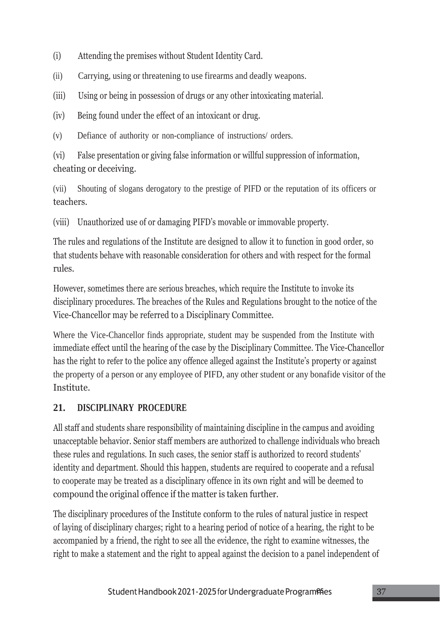- (i) Attending the premises without Student Identity Card.
- (ii) Carrying, using or threatening to use firearms and deadly weapons.
- (iii) Using or being in possession of drugs or any other intoxicating material.
- (iv) Being found under the effect of an intoxicant or drug.
- (v) Defiance of authority or non-compliance of instructions/ orders.

(vi) False presentation or giving false information or willful suppression of information, cheating or deceiving.

(vii) Shouting of slogans derogatory to the prestige of PIFD or the reputation of its officers or teachers.

(viii) Unauthorized use of or damaging PIFD's movable or immovable property.

The rules and regulations of the Institute are designed to allow it to function in good order, so that students behave with reasonable consideration for others and with respect for the formal rules.

However, sometimes there are serious breaches, which require the Institute to invoke its disciplinary procedures. The breaches of the Rules and Regulations brought to the notice of the Vice-Chancellor may be referred to a Disciplinary Committee.

Where the Vice-Chancellor finds appropriate, student may be suspended from the Institute with immediate effect until the hearing of the case by the Disciplinary Committee. The Vice-Chancellor has the right to refer to the police any offence alleged against the Institute's property or against the property of a person or any employee of PIFD, any other student or any bonafide visitor of the Institute.

# **21. DISCIPLINARY PROCEDURE**

All staff and students share responsibility of maintaining discipline in the campus and avoiding unacceptable behavior. Senior staff members are authorized to challenge individuals who breach these rules and regulations. In such cases, the senior staff is authorized to record students' identity and department. Should this happen, students are required to cooperate and a refusal to cooperate may be treated as a disciplinary offence in its own right and will be deemed to compound the original offence if the matter is taken further.

The disciplinary procedures of the Institute conform to the rules of natural justice in respect of laying of disciplinary charges; right to a hearing period of notice of a hearing, the right to be accompanied by a friend, the right to see all the evidence, the right to examine witnesses, the right to make a statement and the right to appeal against the decision to a panel independent of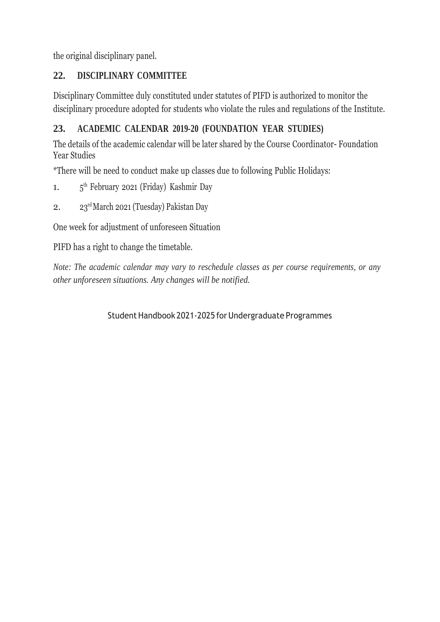the original disciplinary panel.

# **22. DISCIPLINARY COMMITTEE**

Disciplinary Committee duly constituted under statutes of PIFD is authorized to monitor the disciplinary procedure adopted for students who violate the rules and regulations of the Institute.

# **23. ACADEMIC CALENDAR 2019-20 (FOUNDATION YEAR STUDIES)**

The details of the academic calendar will be later shared by the Course Coordinator- Foundation Year Studies

\*There will be need to conduct make up classes due to following Public Holidays:

- 1. 5 th February 2021 (Friday) Kashmir Day
- 2. 23<sup>rd</sup> March 2021 (Tuesday) Pakistan Day

One week for adjustment of unforeseen Situation

PIFD has a right to change the timetable.

*Note: The academic calendar may vary to reschedule classes as per course requirements, or any other unforeseen situations. Any changes will be notified.*

Student Handbook 2021-2025 for Undergraduate Programmes